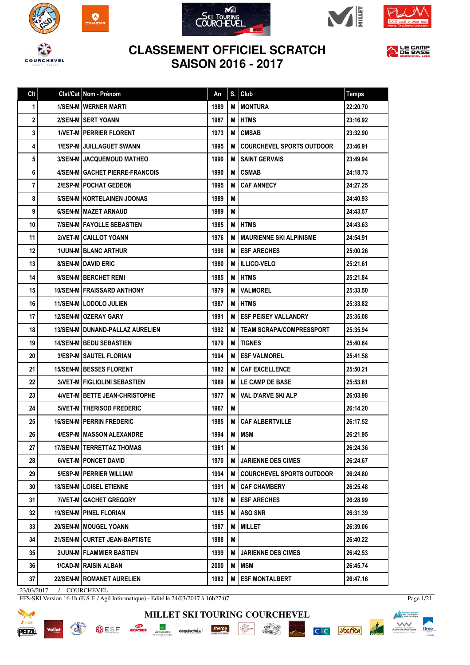









## **CLASSEMENT OFFICIEL SCRATCH SAISON 2016 - 2017**



|  | An                                                                                                                                                                                                                                                                                                                                                                                                                                                                                                                                                                                                                                                                                                                                                                                                                                                                                                                                                                                                                                                                                                                                                                                                         | S. | Club                             | <b>Temps</b>                                 |
|--|------------------------------------------------------------------------------------------------------------------------------------------------------------------------------------------------------------------------------------------------------------------------------------------------------------------------------------------------------------------------------------------------------------------------------------------------------------------------------------------------------------------------------------------------------------------------------------------------------------------------------------------------------------------------------------------------------------------------------------------------------------------------------------------------------------------------------------------------------------------------------------------------------------------------------------------------------------------------------------------------------------------------------------------------------------------------------------------------------------------------------------------------------------------------------------------------------------|----|----------------------------------|----------------------------------------------|
|  | 1989                                                                                                                                                                                                                                                                                                                                                                                                                                                                                                                                                                                                                                                                                                                                                                                                                                                                                                                                                                                                                                                                                                                                                                                                       | М  | <b>MONTURA</b>                   | 22:20.70                                     |
|  | 1987                                                                                                                                                                                                                                                                                                                                                                                                                                                                                                                                                                                                                                                                                                                                                                                                                                                                                                                                                                                                                                                                                                                                                                                                       | M  | <b>HTMS</b>                      | 23:16.92                                     |
|  | 1973                                                                                                                                                                                                                                                                                                                                                                                                                                                                                                                                                                                                                                                                                                                                                                                                                                                                                                                                                                                                                                                                                                                                                                                                       | М  | <b>CMSAB</b>                     | 23:32.90                                     |
|  | 1995                                                                                                                                                                                                                                                                                                                                                                                                                                                                                                                                                                                                                                                                                                                                                                                                                                                                                                                                                                                                                                                                                                                                                                                                       | м  | <b>COURCHEVEL SPORTS OUTDOOR</b> | 23:46.91                                     |
|  | 1990                                                                                                                                                                                                                                                                                                                                                                                                                                                                                                                                                                                                                                                                                                                                                                                                                                                                                                                                                                                                                                                                                                                                                                                                       | М  | <b>SAINT GERVAIS</b>             | 23:49.94                                     |
|  | 1990                                                                                                                                                                                                                                                                                                                                                                                                                                                                                                                                                                                                                                                                                                                                                                                                                                                                                                                                                                                                                                                                                                                                                                                                       | M  | <b>CSMAB</b>                     | 24:18.73                                     |
|  | 1995                                                                                                                                                                                                                                                                                                                                                                                                                                                                                                                                                                                                                                                                                                                                                                                                                                                                                                                                                                                                                                                                                                                                                                                                       | М  | <b>CAF ANNECY</b>                | 24:27.25                                     |
|  | 1989                                                                                                                                                                                                                                                                                                                                                                                                                                                                                                                                                                                                                                                                                                                                                                                                                                                                                                                                                                                                                                                                                                                                                                                                       | М  |                                  | 24:40.93                                     |
|  | 1989                                                                                                                                                                                                                                                                                                                                                                                                                                                                                                                                                                                                                                                                                                                                                                                                                                                                                                                                                                                                                                                                                                                                                                                                       | M  |                                  | 24:43.57                                     |
|  | 1985                                                                                                                                                                                                                                                                                                                                                                                                                                                                                                                                                                                                                                                                                                                                                                                                                                                                                                                                                                                                                                                                                                                                                                                                       | M  | <b>HTMS</b>                      | 24:43.63                                     |
|  | 1976                                                                                                                                                                                                                                                                                                                                                                                                                                                                                                                                                                                                                                                                                                                                                                                                                                                                                                                                                                                                                                                                                                                                                                                                       | М  | <b>MAURIENNE SKI ALPINISME</b>   | 24:54.91                                     |
|  | 1998                                                                                                                                                                                                                                                                                                                                                                                                                                                                                                                                                                                                                                                                                                                                                                                                                                                                                                                                                                                                                                                                                                                                                                                                       |    |                                  | 25:00.26                                     |
|  | 1980                                                                                                                                                                                                                                                                                                                                                                                                                                                                                                                                                                                                                                                                                                                                                                                                                                                                                                                                                                                                                                                                                                                                                                                                       | м  |                                  | 25:21.61                                     |
|  | 1985                                                                                                                                                                                                                                                                                                                                                                                                                                                                                                                                                                                                                                                                                                                                                                                                                                                                                                                                                                                                                                                                                                                                                                                                       | M  | <b>HTMS</b>                      | 25:21.84                                     |
|  | 1979                                                                                                                                                                                                                                                                                                                                                                                                                                                                                                                                                                                                                                                                                                                                                                                                                                                                                                                                                                                                                                                                                                                                                                                                       | M  | <b>VALMOREL</b>                  | 25:33.50                                     |
|  | 1987                                                                                                                                                                                                                                                                                                                                                                                                                                                                                                                                                                                                                                                                                                                                                                                                                                                                                                                                                                                                                                                                                                                                                                                                       | M  | <b>HTMS</b>                      | 25:33.82                                     |
|  | 1991                                                                                                                                                                                                                                                                                                                                                                                                                                                                                                                                                                                                                                                                                                                                                                                                                                                                                                                                                                                                                                                                                                                                                                                                       | м  | <b>ESF PEISEY VALLANDRY</b>      | 25:35.08                                     |
|  | 1992                                                                                                                                                                                                                                                                                                                                                                                                                                                                                                                                                                                                                                                                                                                                                                                                                                                                                                                                                                                                                                                                                                                                                                                                       | М  | <b>TEAM SCRAPA/COMPRESSPORT</b>  | 25:35.94                                     |
|  | 1979                                                                                                                                                                                                                                                                                                                                                                                                                                                                                                                                                                                                                                                                                                                                                                                                                                                                                                                                                                                                                                                                                                                                                                                                       | M  | <b>TIGNES</b>                    | 25:40.64                                     |
|  | 1994                                                                                                                                                                                                                                                                                                                                                                                                                                                                                                                                                                                                                                                                                                                                                                                                                                                                                                                                                                                                                                                                                                                                                                                                       | м  | <b>ESF VALMOREL</b>              | 25:41.58                                     |
|  | 1982                                                                                                                                                                                                                                                                                                                                                                                                                                                                                                                                                                                                                                                                                                                                                                                                                                                                                                                                                                                                                                                                                                                                                                                                       | М  | <b>CAF EXCELLENCE</b>            | 25:50.21                                     |
|  | 1969                                                                                                                                                                                                                                                                                                                                                                                                                                                                                                                                                                                                                                                                                                                                                                                                                                                                                                                                                                                                                                                                                                                                                                                                       | м  | <b>LE CAMP DE BASE</b>           | 25:53.61                                     |
|  | 1977                                                                                                                                                                                                                                                                                                                                                                                                                                                                                                                                                                                                                                                                                                                                                                                                                                                                                                                                                                                                                                                                                                                                                                                                       | М  | <b>VAL D'ARVE SKI ALP</b>        | 26:03.98                                     |
|  | 1967                                                                                                                                                                                                                                                                                                                                                                                                                                                                                                                                                                                                                                                                                                                                                                                                                                                                                                                                                                                                                                                                                                                                                                                                       | M  |                                  | 26:14.20                                     |
|  | 1985                                                                                                                                                                                                                                                                                                                                                                                                                                                                                                                                                                                                                                                                                                                                                                                                                                                                                                                                                                                                                                                                                                                                                                                                       | M  | <b>CAF ALBERTVILLE</b>           | 26:17.52                                     |
|  | 1994                                                                                                                                                                                                                                                                                                                                                                                                                                                                                                                                                                                                                                                                                                                                                                                                                                                                                                                                                                                                                                                                                                                                                                                                       | М  | <b>MSM</b>                       | 26:21.95                                     |
|  | 1981                                                                                                                                                                                                                                                                                                                                                                                                                                                                                                                                                                                                                                                                                                                                                                                                                                                                                                                                                                                                                                                                                                                                                                                                       | M  |                                  | 26:24.36                                     |
|  | 1970                                                                                                                                                                                                                                                                                                                                                                                                                                                                                                                                                                                                                                                                                                                                                                                                                                                                                                                                                                                                                                                                                                                                                                                                       | М  | <b>JARIENNE DES CIMES</b>        | 26:24.67                                     |
|  | 1994                                                                                                                                                                                                                                                                                                                                                                                                                                                                                                                                                                                                                                                                                                                                                                                                                                                                                                                                                                                                                                                                                                                                                                                                       | M  | <b>COURCHEVEL SPORTS OUTDOOR</b> | 26:24.80                                     |
|  | 1991                                                                                                                                                                                                                                                                                                                                                                                                                                                                                                                                                                                                                                                                                                                                                                                                                                                                                                                                                                                                                                                                                                                                                                                                       | M  | <b>CAF CHAMBERY</b>              | 26:25.48                                     |
|  | 1976                                                                                                                                                                                                                                                                                                                                                                                                                                                                                                                                                                                                                                                                                                                                                                                                                                                                                                                                                                                                                                                                                                                                                                                                       | M  | <b>ESF ARECHES</b>               | 26:28.99                                     |
|  | 1985                                                                                                                                                                                                                                                                                                                                                                                                                                                                                                                                                                                                                                                                                                                                                                                                                                                                                                                                                                                                                                                                                                                                                                                                       | M  | ASO SNR                          | 26:31.39                                     |
|  | 1987                                                                                                                                                                                                                                                                                                                                                                                                                                                                                                                                                                                                                                                                                                                                                                                                                                                                                                                                                                                                                                                                                                                                                                                                       | M  | <b>MILLET</b>                    | 26:39.06                                     |
|  | 1988                                                                                                                                                                                                                                                                                                                                                                                                                                                                                                                                                                                                                                                                                                                                                                                                                                                                                                                                                                                                                                                                                                                                                                                                       | M  |                                  | 26:40.22                                     |
|  | 1999                                                                                                                                                                                                                                                                                                                                                                                                                                                                                                                                                                                                                                                                                                                                                                                                                                                                                                                                                                                                                                                                                                                                                                                                       | М  | <b>JARIENNE DES CIMES</b>        | 26:42.53                                     |
|  | 2000                                                                                                                                                                                                                                                                                                                                                                                                                                                                                                                                                                                                                                                                                                                                                                                                                                                                                                                                                                                                                                                                                                                                                                                                       | M  | MSM                              | 26:45.74                                     |
|  | 1982                                                                                                                                                                                                                                                                                                                                                                                                                                                                                                                                                                                                                                                                                                                                                                                                                                                                                                                                                                                                                                                                                                                                                                                                       | M  | <b>ESF MONTALBERT</b>            | 26:47.16                                     |
|  | Clst/Cat Nom - Prénom<br><b>1/SEN-M I WERNER MARTI</b><br>2/SEN-M SERT YOANN<br>1/VET-M   PERRIER FLORENT<br><b>1/ESP-M JUILLAGUET SWANN</b><br>3/SEN-M JACQUEMOUD MATHEO<br>4/SEN-M GACHET PIERRE-FRANCOIS<br>2/ESP-M   POCHAT GEDEON<br>5/SEN-M KORTELAINEN JOONAS<br>6/SEN-M   MAZET ARNAUD<br><b>7/SEN-M   FAYOLLE SEBASTIEN</b><br>2/VET-M CAILLOT YOANN<br><b>1/JUN-M BLANC ARTHUR</b><br><b>8/SEN-MIDAVID ERIC</b><br>9/SEN-M BERCHET REMI<br><b>10/SEN-MIFRAISSARD ANTHONY</b><br>11/SEN-M   LODOLO JULIEN<br>12/SEN-M   OZERAY GARY<br>13/SEN-M I DUNAND-PALLAZ AURELIEN<br><b>14/SEN-M   BEDU SEBASTIEN</b><br>3/ESP-M SAUTEL FLORIAN<br><b>15/SEN-MIBESSES FLORENT</b><br><b>3/VET-M   FIGLIOLINI SEBASTIEN</b><br>4/VET-M BETTE JEAN-CHRISTOPHE<br>5/VET-M   THERISOD FREDERIC<br><b>16/SEN-M   PERRIN FREDERIC</b><br>4/ESP-M MASSON ALEXANDRE<br><b>17/SEN-M   TERRETTAZ THOMAS</b><br>6/VET-M   PONCET DAVID<br>5/ESP-M   PERRIER WILLIAM<br><b>18/SEN-M   LOISEL ETIENNE</b><br><b>7/VET-M GACHET GREGORY</b><br>19/SEN-M   PINEL FLORIAN<br>20/SEN-M   MOUGEL YOANN<br>21/SEN-M CURTET JEAN-BAPTISTE<br>2/JUN-M   FLAMMIER BASTIEN<br>1/CAD-M RAISIN ALBAN<br>22/SEN-M   ROMANET AURELIEN |    |                                  | <b>M LESF ARECHES</b><br><b>IILLICO-VELO</b> |

**MILLET SKI TOURING COURCHEVEL**

 $\begin{array}{c}\n\hline\n\text{IA} & \text{BUC} \\
\text{MP} & \text{GAVD} \\
\hline\n\text{PER} & \end{array}$ 

sherpa

deguisetoi.n

chez...<br>Gaulols

**PISTE NOI** 

C<sub>IC</sub> Scaller

23/03/2017 / COURCHEVEL

Vallat

**ANTISTICATION** 

FFS-SKI Version 16.1h (E.S.F. / Agil Informatique) - Edité le 24/03/2017 à 16h27:07

**OD**<br>BY SPORT

**OBSE** 

<del>系</del><br>Groupama



Page 1/21

**Exploration francaise**<br> **Exploration des clubs alpins**<br>
et de montagne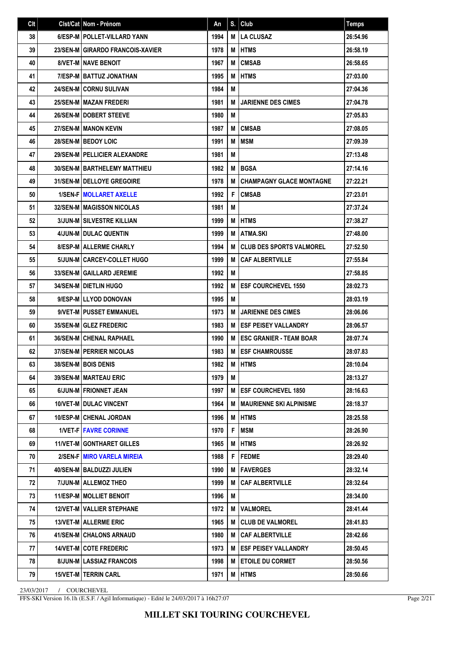| Clt | Clst/Cat Nom - Prénom               | An   | S. | Club                            | <b>Temps</b> |
|-----|-------------------------------------|------|----|---------------------------------|--------------|
| 38  | 6/ESP-M   POLLET-VILLARD YANN       | 1994 | M  | <b>LA CLUSAZ</b>                | 26:54.96     |
| 39  | 23/SEN-M GIRARDO FRANCOIS-XAVIER    | 1978 | М  | <b>IHTMS</b>                    | 26:58.19     |
| 40  | <b>8/VET-M I NAVE BENOIT</b>        | 1967 | М  | <b>CMSAB</b>                    | 26:58.65     |
| 41  | 7/ESP-M   BATTUZ JONATHAN           | 1995 | M  | <b>HTMS</b>                     | 27:03.00     |
| 42  | 24/SEN-M CORNU SULIVAN              | 1984 | М  |                                 | 27:04.36     |
| 43  | 25/SEN-M MAZAN FREDERI              | 1981 | M  | <b>JARIENNE DES CIMES</b>       | 27:04.78     |
| 44  | 26/SEN-M   DOBERT STEEVE            | 1980 | M  |                                 | 27:05.83     |
| 45  | <b>27/SEN-M   MANON KEVIN</b>       | 1987 | M  | <b>CMSAB</b>                    | 27:08.05     |
| 46  | 28/SEN-M BEDOY LOIC                 | 1991 | M  | MSM                             | 27:09.39     |
| 47  | 29/SEN-M   PELLICIER ALEXANDRE      | 1981 | M  |                                 | 27:13.48     |
| 48  | <b>30/SEN-MIBARTHELEMY MATTHIEU</b> | 1982 | М  | <b>BGSA</b>                     | 27:14.16     |
| 49  | 31/SEN-M DELLOYE GREGOIRE           | 1978 | M  | <b>CHAMPAGNY GLACE MONTAGNE</b> | 27:22.21     |
| 50  | <b>1/SEN-F MOLLARET AXELLE</b>      | 1992 | F  | <b>CMSAB</b>                    | 27:23.01     |
| 51  | <b>32/SEN-M MAGISSON NICOLAS</b>    | 1981 | M  |                                 | 27:37.24     |
| 52  | <b>3/JUN-M SILVESTRE KILLIAN</b>    | 1999 | M  | <b>HTMS</b>                     | 27:38.27     |
| 53  | <b>4/JUN-M DULAC QUENTIN</b>        | 1999 | М  | <b>ATMA.SKI</b>                 | 27:48.00     |
| 54  | <b>8/ESP-M   ALLERME CHARLY</b>     | 1994 | M  | <b>CLUB DES SPORTS VALMOREL</b> | 27:52.50     |
| 55  | 5/JUN-M CARCEY-COLLET HUGO          | 1999 | M  | <b>CAF ALBERTVILLE</b>          | 27:55.84     |
| 56  | 33/SEN-M   GAILLARD JEREMIE         | 1992 | M  |                                 | 27:58.85     |
| 57  | <b>34/SEN-M   DIETLIN HUGO</b>      | 1992 | M  | <b>ESF COURCHEVEL 1550</b>      | 28:02.73     |
| 58  | 9/ESP-M LLYOD DONOVAN               | 1995 | M  |                                 | 28:03.19     |
| 59  | 9/VET-M PUSSET EMMANUEL             | 1973 | M  | <b>JARIENNE DES CIMES</b>       | 28:06.06     |
| 60  | <b>35/SEN-M GLEZ FREDERIC</b>       | 1983 | м  | <b>LESF PEISEY VALLANDRY</b>    | 28:06.57     |
| 61  | <b>36/SEN-MICHENAL RAPHAEL</b>      | 1990 | M  | <b>ESC GRANIER - TEAM BOAR</b>  | 28:07.74     |
| 62  | <b>37/SEN-M   PERRIER NICOLAS</b>   | 1983 | M  | <b>ESF CHAMROUSSE</b>           | 28:07.83     |
| 63  | 38/SEN-M BOIS DENIS                 | 1982 | М  | <b>IHTMS</b>                    | 28:10.04     |
| 64  | 39/SEN-M   MARTEAU ERIC             | 1979 | M  |                                 | 28:13.27     |
| 65  | 6/JUN-M FRIONNET JEAN               | 1997 | м  | <b>IESF COURCHEVEL 1850</b>     | 28:16.63     |
| 66  | <b>10/VET-M DULAC VINCENT</b>       | 1964 | M  | <b>MAURIENNE SKI ALPINISME</b>  | 28:18.37     |
| 67  | 10/ESP-M CHENAL JORDAN              | 1996 | M  | <b>HTMS</b>                     | 28:25.58     |
| 68  | <b>1/VET-F FAVRE CORINNE</b>        | 1970 | F  | <b>MSM</b>                      | 28:26.90     |
| 69  | 11/VET-M GONTHARET GILLES           | 1965 | M  | HTMS                            | 28:26.92     |
| 70  | 2/SEN-FIMIRO VARELA MIREIA          | 1988 | F  | <b>FEDME</b>                    | 28:29.40     |
| 71  | 40/SEN-M   BALDUZZI JULIEN          | 1990 | M  | <b> FAVERGES</b>                | 28:32.14     |
| 72  | 7/JUN-M   ALLEMOZ THEO              | 1999 | M  | <b>CAF ALBERTVILLE</b>          | 28:32.64     |
| 73  | 11/ESP-M MOLLIET BENOIT             | 1996 | M  |                                 | 28:34.00     |
| 74  | <b>12/VET-M   VALLIER STEPHANE</b>  | 1972 | М  | <b>VALMOREL</b>                 | 28:41.44     |
| 75  | <b>13/VET-M   ALLERME ERIC</b>      | 1965 | М  | <b>CLUB DE VALMOREL</b>         | 28:41.83     |
| 76  | 41/SEN-M CHALONS ARNAUD             | 1980 | M  | <b>CAF ALBERTVILLE</b>          | 28:42.66     |
| 77  | <b>14/VET-M COTE FREDERIC</b>       | 1973 | M  | <b>IESF PEISEY VALLANDRY</b>    | 28:50.45     |
| 78  | 8/JUN-M   LASSIAZ FRANCOIS          | 1998 | M  | <b>ETOILE DU CORMET</b>         | 28:50.56     |
| 79  | <b>15/VET-M   TERRIN CARL</b>       | 1971 | M  | <b>HTMS</b>                     | 28:50.66     |

FFS-SKI Version 16.1h (E.S.F. / Agil Informatique) - Edité le 24/03/2017 à 16h27:07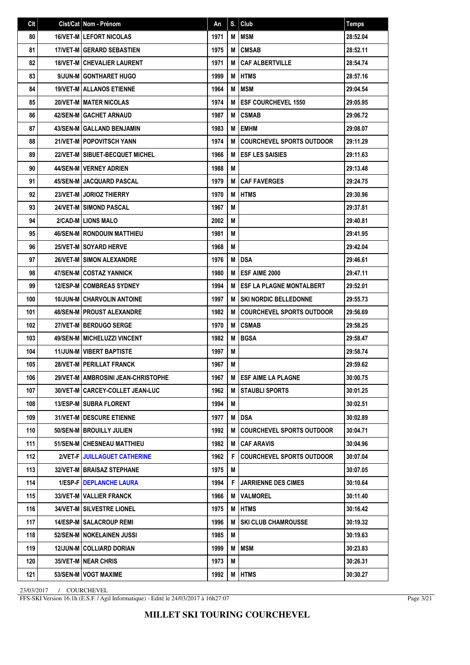| Clt | Clst/Cat Nom - Prénom                | An   | S. | Club                             | <b>Temps</b> |
|-----|--------------------------------------|------|----|----------------------------------|--------------|
| 80  | <b>16/VET-MILEFORT NICOLAS</b>       | 1971 | M  | <b>MSM</b>                       | 28:52.04     |
| 81  | <b>17/VET-M GERARD SEBASTIEN</b>     | 1975 | M  | <b>CMSAB</b>                     | 28:52.11     |
| 82  | <b>18/VET-M CHEVALIER LAURENT</b>    | 1971 | M  | <b>CAF ALBERTVILLE</b>           | 28:54.74     |
| 83  | 9/JUN-M GONTHARET HUGO               | 1999 | M  | <b>HTMS</b>                      | 28:57.16     |
| 84  | <b>19/VET-M   ALLANOS ETIENNE</b>    | 1964 | M  | <b>MSM</b>                       | 29:04.54     |
| 85  | 20/VET-M MATER NICOLAS               | 1974 | M  | <b>ESF COURCHEVEL 1550</b>       | 29:05.95     |
| 86  | 42/SEN-M GACHET ARNAUD               | 1987 | M  | <b>CSMAB</b>                     | 29:06.72     |
| 87  | <b>43/SEN-M GALLAND BENJAMIN</b>     | 1983 | M  | <b>EMHM</b>                      | 29:08.07     |
| 88  | <b>21/VET-M   POPOVITSCH YANN</b>    | 1974 | M  | <b>COURCHEVEL SPORTS OUTDOOR</b> | 29:11.29     |
| 89  | 22/VET-M SIBUET-BECQUET MICHEL       | 1966 | M  | <b>ESF LES SAISIES</b>           | 29:11.63     |
| 90  | <b>44/SEN-M   VERNEY ADRIEN</b>      | 1988 | M  |                                  | 29:13.48     |
| 91  | <b>45/SEN-M JACQUARD PASCAL</b>      | 1979 | M  | <b>CAF FAVERGES</b>              | 29:24.75     |
| 92  | 23/VET-M JORIOZ THIERRY              | 1970 | M  | <b>HTMS</b>                      | 29:30.96     |
| 93  | <b>24/VET-M I SIMOND PASCAL</b>      | 1967 | М  |                                  | 29:37.81     |
| 94  | 2/CAD-MILIONS MALO                   | 2002 | M  |                                  | 29:40.81     |
| 95  | <b>46/SEN-M   RONDOUIN MATTHIEU</b>  | 1981 | M  |                                  | 29:41.95     |
| 96  | <b>25/VET-M SOYARD HERVE</b>         | 1968 | M  |                                  | 29:42.04     |
| 97  | <b>26/VET-M I SIMON ALEXANDRE</b>    | 1976 | M  | <b>DSA</b>                       | 29:46.61     |
| 98  | 47/SEN-MICOSTAZ YANNICK              | 1980 | M  | ESF AIME 2000                    | 29:47.11     |
| 99  | <b>12/ESP-MICOMBREAS SYDNEY</b>      | 1994 | M  | <b>ESF LA PLAGNE MONTALBERT</b>  | 29:52.01     |
| 100 | <b>10/JUN-M CHARVOLIN ANTOINE</b>    | 1997 | M  | <b>SKI NORDIC BELLEDONNE</b>     | 29:55.73     |
| 101 | <b>48/SEN-M   PROUST ALEXANDRE</b>   | 1982 | M  | <b>COURCHEVEL SPORTS OUTDOOR</b> | 29:56.69     |
| 102 | 27/VET-M BERDUGO SERGE               | 1970 | M  | <b>CSMAB</b>                     | 29:58.25     |
| 103 | <b>49/SEN-M   MICHELUZZI VINCENT</b> | 1982 | M  | <b>BGSA</b>                      | 29:58.47     |
| 104 | <b>11/JUN-M VIBERT BAPTISTE</b>      | 1997 | М  |                                  | 29:58.74     |
| 105 | <b>28/VET-M   PERILLAT FRANCK</b>    | 1967 | M  |                                  | 29:59.62     |
| 106 | 29/VET-M AMBROSINI JEAN-CHRISTOPHE   | 1967 | M  | <b>IESF AIME LA PLAGNE</b>       | 30:00.75     |
| 107 | 30/VET-M   CARCEY-COLLET JEAN-LUC    | 1962 | M  | STAUBLI SPORTS                   | 30:01.25     |
| 108 | 13/ESP-M   SUBRA FLORENT             | 1994 | M  |                                  | 30:02.51     |
| 109 | 31/VET-M   DESCURE ETIENNE           | 1977 | M  | DSA                              | 30:02.89     |
| 110 | 50/SEN-M   BROUILLY JULIEN           | 1992 | M  | <b>COURCHEVEL SPORTS OUTDOOR</b> | 30:04.71     |
| 111 | 51/SEN-M CHESNEAU MATTHIEU           | 1982 | M  | <b>CAF ARAVIS</b>                | 30:04.96     |
| 112 | 2/VET-F JUILLAGUET CATHERINE         | 1962 | F  | <b>COURCHEVEL SPORTS OUTDOOR</b> | 30:07.04     |
| 113 | 32/VET-M   BRAISAZ STEPHANE          | 1975 | M  |                                  | 30:07.05     |
| 114 | 1/ESP-F   DEPLANCHE LAURA            | 1994 | F  | <b>JARRIENNE DES CIMES</b>       | 30:10.64     |
| 115 | 33/VET-M VALLIER FRANCK              | 1966 | M  | <b>VALMOREL</b>                  | 30:11.40     |
| 116 | 34/VET-M   SILVESTRE LIONEL          | 1975 | M  | <b>HTMS</b>                      | 30:16.42     |
| 117 | <b>14/ESP-M SALACROUP REMI</b>       | 1996 | M  | <b>SKI CLUB CHAMROUSSE</b>       | 30:19.32     |
| 118 | 52/SEN-M   NOKELAINEN JUSSI          | 1985 | M  |                                  | 30:19.63     |
| 119 | 12/JUN-M COLLIARD DORIAN             | 1999 | M  | <b>MSM</b>                       | 30:23.83     |
| 120 | <b>35/VET-M   NEAR CHRIS</b>         | 1973 | M  |                                  | 30:26.31     |
| 121 | 53/SEN-M   VOGT MAXIME               | 1992 | M  | <b>HTMS</b>                      | 30:30.27     |

FFS-SKI Version 16.1h (E.S.F. / Agil Informatique) - Edité le 24/03/2017 à 16h27:07

Page 3/21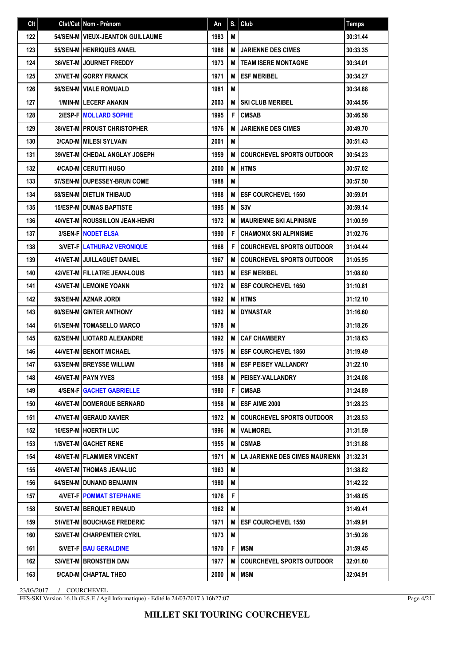| Clt | Clst/Cat Nom - Prénom                | An   | S. | Club                             | <b>Temps</b> |
|-----|--------------------------------------|------|----|----------------------------------|--------------|
| 122 | 54/SEN-M   VIEUX-JEANTON GUILLAUME   | 1983 | М  |                                  | 30:31.44     |
| 123 | <b>55/SEN-M   HENRIQUES ANAEL</b>    | 1986 | M  | <b>JARIENNE DES CIMES</b>        | 30:33.35     |
| 124 | <b>36/VET-MIJOURNET FREDDY</b>       | 1973 | M  | <b>TEAM ISERE MONTAGNE</b>       | 30:34.01     |
| 125 | <b>37/VET-MIGORRY FRANCK</b>         | 1971 | M  | <b>ESF MERIBEL</b>               | 30:34.27     |
| 126 | 56/SEN-M   VIALE ROMUALD             | 1981 | М  |                                  | 30:34.88     |
| 127 | <b>1/MIN-MILECERF ANAKIN</b>         | 2003 | M  | <b>SKI CLUB MERIBEL</b>          | 30:44.56     |
| 128 | 2/ESP-FIMOLLARD SOPHIE               | 1995 | F  | <b>CMSAB</b>                     | 30:46.58     |
| 129 | <b>38/VET-M   PROUST CHRISTOPHER</b> | 1976 | M  | <b>JARIENNE DES CIMES</b>        | 30:49.70     |
| 130 | <b>3/CAD-M   MILESI SYLVAIN</b>      | 2001 | M  |                                  | 30:51.43     |
| 131 | <b>39/VET-M CHEDAL ANGLAY JOSEPH</b> | 1959 | M  | <b>COURCHEVEL SPORTS OUTDOOR</b> | 30:54.23     |
| 132 | 4/CAD-M CERUTTI HUGO                 | 2000 | M  | <b>HTMS</b>                      | 30:57.02     |
| 133 | 57/SEN-M I DUPESSEY-BRUN COME        | 1988 | М  |                                  | 30:57.50     |
| 134 | 58/SEN-M   DIETLIN THIBAUD           | 1988 | M  | <b>ESF COURCHEVEL 1550</b>       | 30:59.01     |
| 135 | <b>15/ESP-M DUMAS BAPTISTE</b>       | 1995 | M  | S <sub>3</sub> V                 | 30:59.14     |
| 136 | 40/VET-M ROUSSILLON JEAN-HENRI       | 1972 | M  | <b>MAURIENNE SKI ALPINISME</b>   | 31:00.99     |
| 137 | <b>3/SEN-FINODET ELSA</b>            | 1990 | F  | <b>CHAMONIX SKI ALPINISME</b>    | 31:02.76     |
| 138 | 3/VET-F LATHURAZ VERONIQUE           | 1968 | F  | <b>COURCHEVEL SPORTS OUTDOOR</b> | 31:04.44     |
| 139 | 41/VET-M JUILLAGUET DANIEL           | 1967 | M  | <b>COURCHEVEL SPORTS OUTDOOR</b> | 31:05.95     |
| 140 | 42/VET-M   FILLATRE JEAN-LOUIS       | 1963 | M  | <b>ESF MERIBEL</b>               | 31:08.80     |
| 141 | <b>43/VET-M LEMOINE YOANN</b>        | 1972 | M  | <b>ESF COURCHEVEL 1650</b>       | 31:10.81     |
| 142 | 59/SEN-M AZNAR JORDI                 | 1992 | M  | <b>HTMS</b>                      | 31:12.10     |
| 143 | <b>60/SEN-MI GINTER ANTHONY</b>      | 1982 | M  | <b>DYNASTAR</b>                  | 31:16.60     |
| 144 | 61/SEN-M   TOMASELLO MARCO           | 1978 | М  |                                  | 31:18.26     |
| 145 | 62/SEN-M LIOTARD ALEXANDRE           | 1992 | M  | <b>CAF CHAMBERY</b>              | 31:18.63     |
| 146 | <b>44/VET-M   BENOIT MICHAEL</b>     | 1975 | M  | <b>ESF COURCHEVEL 1850</b>       | 31:19.49     |
| 147 | 63/SEN-M   BREYSSE WILLIAM           | 1988 | M  | <b>ESF PEISEY VALLANDRY</b>      | 31:22.10     |
| 148 | 45/VET-M   PAYN YVES                 | 1958 | M  | <b>PEISEY-VALLANDRY</b>          | 31:24.08     |
| 149 | 4/SEN-F GACHET GABRIELLE             | 1980 | F  | <b>CMSAB</b>                     | 31:24.89     |
| 150 | <b>46/VET-M   DOMERGUE BERNARD</b>   | 1958 | М  | ESF AIME 2000                    | 31:28.23     |
| 151 | 47/VET-M GERAUD XAVIER               | 1972 | м  | <b>COURCHEVEL SPORTS OUTDOOR</b> | 31:28.53     |
| 152 | 16/ESP-M HOERTH LUC                  | 1996 | M  | <b>VALMOREL</b>                  | 31:31.59     |
| 153 | <b>1/SVET-M GACHET RENE</b>          | 1955 | M  | <b>CSMAB</b>                     | 31:31.88     |
| 154 | <b>48/VET-M FLAMMIER VINCENT</b>     | 1971 | м  | LA JARIENNE DES CIMES MAURIENN   | 131:32.31    |
| 155 | <b>49/VET-M   THOMAS JEAN-LUC</b>    | 1963 | М  |                                  | 31:38.82     |
| 156 | 64/SEN-M   DUNAND BENJAMIN           | 1980 | M  |                                  | 31:42.22     |
| 157 | 4/VET-F   POMMAT STEPHANIE           | 1976 | F  |                                  | 31:48.05     |
| 158 | 50/VET-M   BERQUET RENAUD            | 1962 | M  |                                  | 31:49.41     |
| 159 | <b>51/VET-MIBOUCHAGE FREDERIC</b>    | 1971 | M  | <b>ESF COURCHEVEL 1550</b>       | 31:49.91     |
| 160 | 52/VET-M   CHARPENTIER CYRIL         | 1973 | M  |                                  | 31:50.28     |
| 161 | 5/VET-F BAU GERALDINE                | 1970 | F  | MSM                              | 31:59.45     |
| 162 | <b>53/VET-M   BRONSTEIN DAN</b>      | 1977 | M  | <b>COURCHEVEL SPORTS OUTDOOR</b> | 32:01.60     |
| 163 | 5/CAD-M CHAPTAL THEO                 | 2000 | M  | <b>MSM</b>                       | 32:04.91     |

FFS-SKI Version 16.1h (E.S.F. / Agil Informatique) - Edité le 24/03/2017 à 16h27:07

Page 4/21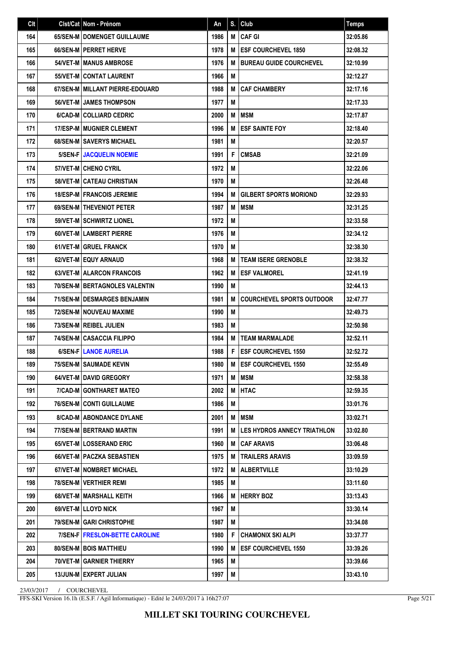| Clt | Clst/Cat Nom - Prénom                  | An   | S. | Club                               | <b>Temps</b> |
|-----|----------------------------------------|------|----|------------------------------------|--------------|
| 164 | 65/SEN-M I DOMENGET GUILLAUME          | 1986 | M  | <b>CAFGI</b>                       | 32:05.86     |
| 165 | 66/SEN-M PERRET HERVE                  | 1978 | M  | <b>ESF COURCHEVEL 1850</b>         | 32:08.32     |
| 166 | <b>54/VET-M I MANUS AMBROSE</b>        | 1976 | M  | <b>BUREAU GUIDE COURCHEVEL</b>     | 32:10.99     |
| 167 | 55/VET-M CONTAT LAURENT                | 1966 | М  |                                    | 32:12.27     |
| 168 | 67/SEN-M MILLANT PIERRE-EDOUARD        | 1988 | M  | <b>CAF CHAMBERY</b>                | 32:17.16     |
| 169 | <b>56/VET-M JAMES THOMPSON</b>         | 1977 | М  |                                    | 32:17.33     |
| 170 | 6/CAD-M COLLIARD CEDRIC                | 2000 | M  | MSM                                | 32:17.87     |
| 171 | <b>17/ESP-M   MUGNIER CLEMENT</b>      | 1996 | M  | <b>ESF SAINTE FOY</b>              | 32:18.40     |
| 172 | 68/SEN-M SAVERYS MICHAEL               | 1981 | M  |                                    | 32:20.57     |
| 173 | <b>5/SEN-F JACQUELIN NOEMIE</b>        | 1991 | F  | <b>CMSAB</b>                       | 32:21.09     |
| 174 | 57/VET-M CHENO CYRIL                   | 1972 | M  |                                    | 32:22.06     |
| 175 | 58/VET-M CATEAU CHRISTIAN              | 1970 | М  |                                    | 32:26.48     |
| 176 | <b>18/ESP-M FRANCOIS JEREMIE</b>       | 1994 | M  | <b>GILBERT SPORTS MORIOND</b>      | 32:29.93     |
| 177 | 69/SEN-M THEVENIOT PETER               | 1987 | M  | <b>MSM</b>                         | 32:31.25     |
| 178 | 59/VET-M SCHWIRTZ LIONEL               | 1972 | М  |                                    | 32:33.58     |
| 179 | 60/VET-MILAMBERT PIERRE                | 1976 | M  |                                    | 32:34.12     |
| 180 | <b>61/VET-M GRUEL FRANCK</b>           | 1970 | М  |                                    | 32:38.30     |
| 181 | 62/VET-M EQUY ARNAUD                   | 1968 | M  | <b>TEAM ISERE GRENOBLE</b>         | 32:38.32     |
| 182 | 63/VET-M ALARCON FRANCOIS              | 1962 | M  | <b>ESF VALMOREL</b>                | 32:41.19     |
| 183 | <b>70/SEN-M   BERTAGNOLES VALENTIN</b> | 1990 | M  |                                    | 32:44.13     |
| 184 | <b>71/SEN-M I DESMARGES BENJAMIN</b>   | 1981 | M  | <b>COURCHEVEL SPORTS OUTDOOR</b>   | 32:47.77     |
| 185 | 72/SEN-M NOUVEAU MAXIME                | 1990 | М  |                                    | 32:49.73     |
| 186 | 73/SEN-M REIBEL JULIEN                 | 1983 | М  |                                    | 32:50.98     |
| 187 | <b>74/SEN-M CASACCIA FILIPPO</b>       | 1984 | M  | <b>TEAM MARMALADE</b>              | 32:52.11     |
| 188 | 6/SEN-F LANOE AURELIA                  | 1988 | F  | <b>ESF COURCHEVEL 1550</b>         | 32:52.72     |
| 189 | 75/SEN-M SAUMADE KEVIN                 | 1980 | M  | <b>ESF COURCHEVEL 1550</b>         | 32:55.49     |
| 190 | 64/VET-M DAVID GREGORY                 | 1971 | M  | <b>MSM</b>                         | 32:58.38     |
| 191 | 7/CAD-M GONTHARET MATEO                | 2002 | M  | <b>HTAC</b>                        | 32:59.35     |
| 192 | 76/SEN-M CONTI GUILLAUME               | 1986 | M  |                                    | 33:01.76     |
| 193 | <b>8/CAD-M ABONDANCE DYLANE</b>        | 2001 | M  | MSM                                | 33:02.71     |
| 194 | 77/SEN-M BERTRAND MARTIN               | 1991 | M  | <b>LES HYDROS ANNECY TRIATHLON</b> | 33:02.80     |
| 195 | 65/VET-M LOSSERAND ERIC                | 1960 | M  | <b>CAF ARAVIS</b>                  | 33:06.48     |
| 196 | 66/VET-M   PACZKA SEBASTIEN            | 1975 | M  | <b>TRAILERS ARAVIS</b>             | 33:09.59     |
| 197 | 67/VET-M   NOMBRET MICHAEL             | 1972 | M  | <b>ALBERTVILLE</b>                 | 33:10.29     |
| 198 | 78/SEN-M   VERTHIER REMI               | 1985 | M  |                                    | 33:11.60     |
| 199 | 68/VET-M   MARSHALL KEITH              | 1966 | M  | <b>HERRY BOZ</b>                   | 33:13.43     |
| 200 | 69/VET-M LLOYD NICK                    | 1967 | M  |                                    | 33:30.14     |
| 201 | 79/SEN-M GARI CHRISTOPHE               | 1987 | M  |                                    | 33:34.08     |
| 202 | 7/SEN-F   FRESLON-BETTE CAROLINE       | 1980 | F  | <b>CHAMONIX SKI ALPI</b>           | 33:37.77     |
| 203 | 80/SEN-M   BOIS MATTHIEU               | 1990 | M  | <b>ESF COURCHEVEL 1550</b>         | 33:39.26     |
| 204 | 70/VET-M GARNIER THIERRY               | 1965 | M  |                                    | 33:39.66     |
| 205 | 13/JUN-M EXPERT JULIAN                 | 1997 | M  |                                    | 33:43.10     |

FFS-SKI Version 16.1h (E.S.F. / Agil Informatique) - Edité le 24/03/2017 à 16h27:07

Page 5/21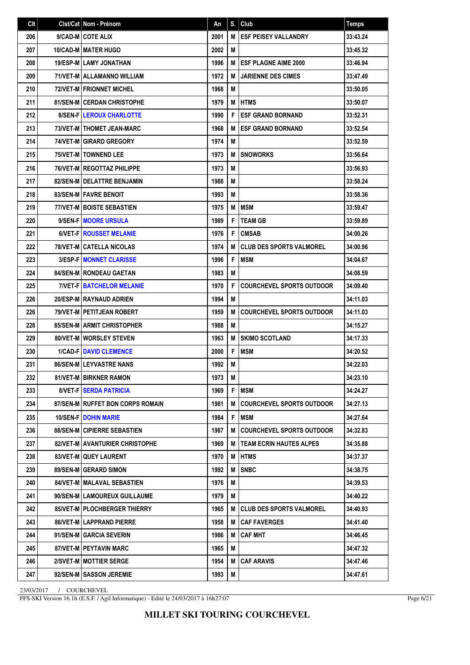| Clt | Clst/Cat   Nom - Prénom            | An   | S. | Club                             | <b>Temps</b> |
|-----|------------------------------------|------|----|----------------------------------|--------------|
| 206 | 9/CAD-M COTE ALIX                  | 2001 | M  | <b>ESF PEISEY VALLANDRY</b>      | 33:43.24     |
| 207 | 10/CAD-M MATER HUGO                | 2002 | M  |                                  | 33:45.32     |
| 208 | <b>19/ESP-MILAMY JONATHAN</b>      | 1996 | M  | <b>ESF PLAGNE AIME 2000</b>      | 33:46.94     |
| 209 | 71/VET-M ALLAMANNO WILLIAM         | 1972 | M  | <b>JARIENNE DES CIMES</b>        | 33:47.49     |
| 210 | <b>72/VET-M   FRIONNET MICHEL</b>  | 1968 | M  |                                  | 33:50.05     |
| 211 | <b>81/SEN-M CERDAN CHRISTOPHE</b>  | 1979 | M  | <b>HTMS</b>                      | 33:50.07     |
| 212 | <b>8/SEN-FILEROUX CHARLOTTE</b>    | 1990 | F  | <b>ESF GRAND BORNAND</b>         | 33:52.31     |
| 213 | 73/VET-M   THOMET JEAN-MARC        | 1968 | M  | <b>ESF GRAND BORNAND</b>         | 33:52.54     |
| 214 | 74/VET-M GIRARD GREGORY            | 1974 | M  |                                  | 33:52.59     |
| 215 | <b>75/VET-MITOWNEND LEE</b>        | 1973 | M  | <b>SNOWORKS</b>                  | 33:56.64     |
| 216 | 76/VET-M   REGOTTAZ PHILIPPE       | 1973 | M  |                                  | 33:56.93     |
| 217 | 82/SEN-M   DELATTRE BENJAMIN       | 1988 | М  |                                  | 33:58.24     |
| 218 | <b>83/SEN-MIFAVRE BENOIT</b>       | 1993 | M  |                                  | 33:58.36     |
| 219 | <b>77/VET-M   BOISTE SEBASTIEN</b> | 1975 | M  | <b>MSM</b>                       | 33:59.47     |
| 220 | 9/SEN-F MOORE URSULA               | 1989 | F  | <b>TEAM GB</b>                   | 33:59.89     |
| 221 | 6/VET-FIROUSSET MELANIE            | 1976 | F  | <b>CMSAB</b>                     | 34:00.26     |
| 222 | <b>78/VET-M CATELLA NICOLAS</b>    | 1974 | M  | <b>CLUB DES SPORTS VALMOREL</b>  | 34:00.96     |
| 223 | 3/ESP-F   MONNET CLARISSE          | 1996 | F  | <b>MSM</b>                       | 34:04.67     |
| 224 | <b>84/SEN-M   RONDEAU GAETAN</b>   | 1983 | M  |                                  | 34:08.59     |
| 225 | <b>7/VET-FIBATCHELOR MELANIE</b>   | 1970 | F  | <b>COURCHEVEL SPORTS OUTDOOR</b> | 34:09.40     |
| 226 | 20/ESP-M RAYNAUD ADRIEN            | 1994 | М  |                                  | 34:11.03     |
| 226 | 79/VET-M   PETITJEAN ROBERT        | 1959 | M  | <b>COURCHEVEL SPORTS OUTDOOR</b> | 34:11.03     |
| 228 | <b>85/SEN-M ARMIT CHRISTOPHER</b>  | 1988 | М  |                                  | 34:15.27     |
| 229 | 80/VET-M WORSLEY STEVEN            | 1963 | M  | <b>SKIMO SCOTLAND</b>            | 34:17.33     |
| 230 | <b>1/CAD-FIDAVID CLEMENCE</b>      | 2000 | F  | <b>MSM</b>                       | 34:20.52     |
| 231 | 86/SEN-M LEYVASTRE NANS            | 1992 | M  |                                  | 34:22.03     |
| 232 | 81/VET-M   BIRKNER RAMON           | 1973 | М  |                                  | 34:23.10     |
| 233 | 8/VET-F SERDA PATRICIA             | 1969 | F  | <b>MSM</b>                       | 34:24.27     |
| 234 | 87/SEN-MIRUFFET BON CORPS ROMAIN   | 1981 | M  | <b>COURCHEVEL SPORTS OUTDOOR</b> | 34:27.13     |
| 235 | <b>10/SEN-F DOHIN MARIE</b>        | 1984 | F  | MSM                              | 34:27.64     |
| 236 | 88/SEN-M CIPIERRE SEBASTIEN        | 1987 | M  | <b>COURCHEVEL SPORTS OUTDOOR</b> | 34:32.83     |
| 237 | 82/VET-M AVANTURIER CHRISTOPHE     | 1969 | M  | <b>TEAM ECRIN HAUTES ALPES</b>   | 34:35.88     |
| 238 | 83/VET-M QUEY LAURENT              | 1970 | M  | <b>HTMS</b>                      | 34:37.37     |
| 239 | 89/SEN-M GERARD SIMON              | 1992 | M  | <b>SNBC</b>                      | 34:38.75     |
| 240 | 84/VET-M   MALAVAL SEBASTIEN       | 1976 | M  |                                  | 34:39.53     |
| 241 | 90/SEN-M   LAMOUREUX GUILLAUME     | 1979 | M  |                                  | 34:40.22     |
| 242 | 85/VET-MIPLOCHBERGER THIERRY       | 1965 | м  | <b>CLUB DES SPORTS VALMOREL</b>  | 34:40.93     |
| 243 | <b>86/VET-M LAPPRAND PIERRE</b>    | 1958 | М  | <b>CAF FAVERGES</b>              | 34:41.40     |
| 244 | 91/SEN-M GARCIA SEVERIN            | 1986 | M  | <b>CAF MHT</b>                   | 34:46.45     |
| 245 | 87/VET-M   PEYTAVIN MARC           | 1965 | M  |                                  | 34:47.32     |
| 246 | 2/SVET-M   MOTTIER SERGE           | 1954 | M  | <b>CAF ARAVIS</b>                | 34:47.46     |
| 247 | 92/SEN-M   SASSON JEREMIE          | 1993 | M  |                                  | 34:47.61     |

FFS-SKI Version 16.1h (E.S.F. / Agil Informatique) - Edité le 24/03/2017 à 16h27:07

Page 6/21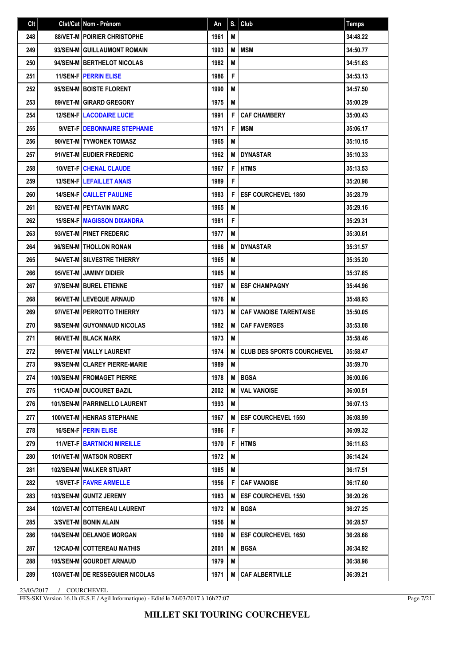| Clt | Clst/Cat Nom - Prénom                    | An   | S. | Club                              | <b>Temps</b> |
|-----|------------------------------------------|------|----|-----------------------------------|--------------|
| 248 | <b>88/VET-M   POIRIER CHRISTOPHE</b>     | 1961 | М  |                                   | 34:48.22     |
| 249 | 93/SEN-M GUILLAUMONT ROMAIN              | 1993 | M  | <b>MSM</b>                        | 34:50.77     |
| 250 | 94/SEN-M BERTHELOT NICOLAS               | 1982 | M  |                                   | 34:51.63     |
| 251 | <b>11/SEN-FIPERRIN ELISE</b>             | 1986 | F  |                                   | 34:53.13     |
| 252 | 95/SEN-M BOISTE FLORENT                  | 1990 | M  |                                   | 34:57.50     |
| 253 | 89/VET-M GIRARD GREGORY                  | 1975 | М  |                                   | 35:00.29     |
| 254 | <b>12/SEN-FILACODAIRE LUCIE</b>          | 1991 | F  | <b>CAF CHAMBERY</b>               | 35:00.43     |
| 255 | 9/VET-F   DEBONNAIRE STEPHANIE           | 1971 | F  | <b>MSM</b>                        | 35:06.17     |
| 256 | 90/VET-M   TYWONEK TOMASZ                | 1965 | M  |                                   | 35:10.15     |
| 257 | 91/VET-M EUDIER FREDERIC                 | 1962 | M  | <b>DYNASTAR</b>                   | 35:10.33     |
| 258 | <b>10/VET-FICHENAL CLAUDE</b>            | 1967 | F  | <b>HTMS</b>                       | 35:13.53     |
| 259 | <b>13/SEN-FILEFAILLET ANAIS</b>          | 1989 | F  |                                   | 35:20.98     |
| 260 | <b>14/SEN-FI CAILLET PAULINE</b>         | 1983 | F  | <b>ESF COURCHEVEL 1850</b>        | 35:28.79     |
| 261 | 92/VET-M PEYTAVIN MARC                   | 1965 | M  |                                   | 35:29.16     |
| 262 | <b>15/SEN-FIMAGISSON DIXANDRA</b>        | 1981 | F  |                                   | 35:29.31     |
| 263 | 93/VET-M PINET FREDERIC                  | 1977 | M  |                                   | 35:30.61     |
| 264 | 96/SEN-MITHOLLON RONAN                   | 1986 | M  | <b>DYNASTAR</b>                   | 35:31.57     |
| 265 | 94/VET-M SILVESTRE THIERRY               | 1965 | M  |                                   | 35:35.20     |
| 266 | 95/VET-M JAMINY DIDIER                   | 1965 | М  |                                   | 35:37.85     |
| 267 | 97/SEN-MIBUREL ETIENNE                   | 1987 | M  | <b>ESF CHAMPAGNY</b>              | 35:44.96     |
| 268 | 96/VET-M LEVEQUE ARNAUD                  | 1976 | М  |                                   | 35:48.93     |
| 269 | 97/VET-M PERROTTO THIERRY                | 1973 | M  | <b>CAF VANOISE TARENTAISE</b>     | 35:50.05     |
| 270 | 98/SEN-M GUYONNAUD NICOLAS               | 1982 | M  | <b>CAF FAVERGES</b>               | 35:53.08     |
| 271 | 98/VET-M   BLACK MARK                    | 1973 | M  |                                   | 35:58.46     |
| 272 | 99/VET-M VIALLY LAURENT                  | 1974 | M  | <b>CLUB DES SPORTS COURCHEVEL</b> | 35:58.47     |
| 273 | 99/SEN-M CLAREY PIERRE-MARIE             | 1989 | M  |                                   | 35:59.70     |
| 274 | 100/SEN-M FROMAGET PIERRE                | 1978 | M  | BGSA                              | 36:00.06     |
| 275 | 11/CAD-M DUCOURET BAZIL                  | 2002 | M  | <b>VAL VANOISE</b>                | 36:00.51     |
| 276 | <b>101/SEN-M   PARRINELLO LAURENT</b>    | 1993 | M  |                                   | 36:07.13     |
| 277 | <b>100/VET-M HENRAS STEPHANE</b>         | 1967 | M  | <b>ESF COURCHEVEL 1550</b>        | 36:08.99     |
| 278 | <b>16/SEN-F PERIN ELISE</b>              | 1986 | F  |                                   | 36:09.32     |
| 279 | <b>11/VET-F   BARTNICKI MIREILLE</b>     | 1970 | F  | <b>HTMS</b>                       | 36:11.63     |
| 280 | 101/VET-M WATSON ROBERT                  | 1972 | M  |                                   | 36:14.24     |
| 281 | 102/SEN-M   WALKER STUART                | 1985 | M  |                                   | 36:17.51     |
| 282 | 1/SVET-F   FAVRE ARMELLE                 | 1956 | F  | <b>CAF VANOISE</b>                | 36:17.60     |
| 283 | 103/SEN-M GUNTZ JEREMY                   | 1983 | M  | <b>ESF COURCHEVEL 1550</b>        | 36:20.26     |
| 284 | 102/VET-M   COTTEREAU LAURENT            | 1972 | M  | <b>BGSA</b>                       | 36:27.25     |
| 285 | 3/SVET-M BONIN ALAIN                     | 1956 | М  |                                   | 36:28.57     |
| 286 | <b>104/SEN-M   DELANOE MORGAN</b>        | 1980 | M  | <b>ESF COURCHEVEL 1650</b>        | 36:28.68     |
| 287 | <b>12/CAD-M COTTEREAU MATHIS</b>         | 2001 | M  | <b>BGSA</b>                       | 36:34.92     |
| 288 | 105/SEN-M GOURDET ARNAUD                 | 1979 | M  |                                   | 36:38.98     |
| 289 | <b>103/VET-M   DE RESSEGUIER NICOLAS</b> | 1971 | M  | <b>CAF ALBERTVILLE</b>            | 36:39.21     |

FFS-SKI Version 16.1h (E.S.F. / Agil Informatique) - Edité le 24/03/2017 à 16h27:07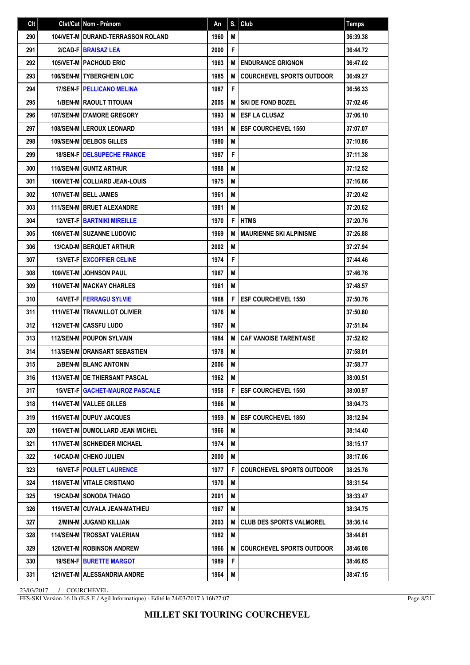| Clt | Clst/Cat Nom - Prénom                  | An   | S. | <b>Club</b>                      | <b>Temps</b> |
|-----|----------------------------------------|------|----|----------------------------------|--------------|
| 290 | 104/VET-M   DURAND-TERRASSON ROLAND    | 1960 | M  |                                  | 36:39.38     |
| 291 | 2/CAD-FIBRAISAZ LEA                    | 2000 | F  |                                  | 36:44.72     |
| 292 | <b>105/VET-M   PACHOUD ERIC</b>        | 1963 | М  | <b>I ENDURANCE GRIGNON</b>       | 36:47.02     |
| 293 | <b>106/SEN-M I TYBERGHEIN LOIC</b>     | 1985 | M  | <b>COURCHEVEL SPORTS OUTDOOR</b> | 36:49.27     |
| 294 | <b>17/SEN-F   PELLICANO MELINA</b>     | 1987 | F  |                                  | 36:56.33     |
| 295 | <b>1/BEN-M RAOULT TITOUAN</b>          | 2005 | М  | <b>SKI DE FOND BOZEL</b>         | 37:02.46     |
| 296 | <b>107/SEN-MID'AMORE GREGORY</b>       | 1993 | М  | <b>IESF LA CLUSAZ</b>            | 37:06.10     |
| 297 | <b>108/SEN-MILEROUX LEONARD</b>        | 1991 | М  | <b>ESF COURCHEVEL 1550</b>       | 37:07.07     |
| 298 | 109/SEN-M DELBOS GILLES                | 1980 | М  |                                  | 37:10.86     |
| 299 | <b>18/SEN-FIDELSUPECHE FRANCE</b>      | 1987 | F  |                                  | 37:11.38     |
| 300 | 110/SEN-M GUNTZ ARTHUR                 | 1988 | M  |                                  | 37:12.52     |
| 301 | 106/VET-M COLLIARD JEAN-LOUIS          | 1975 | M  |                                  | 37:16.66     |
| 302 | 107/VET-M   BELL JAMES                 | 1961 | М  |                                  | 37:20.42     |
| 303 | 111/SEN-M BRUET ALEXANDRE              | 1981 | M  |                                  | 37:20.62     |
| 304 | <b>12/VET-FIBARTNIKI MIREILLE</b>      | 1970 | F  | <b>HTMS</b>                      | 37:20.76     |
| 305 | <b>108/VET-M I SUZANNE LUDOVIC</b>     | 1969 | М  | <b>MAURIENNE SKI ALPINISME</b>   | 37:26.88     |
| 306 | <b>13/CAD-MIBERQUET ARTHUR</b>         | 2002 | М  |                                  | 37:27.94     |
| 307 | 13/VET-F   EXCOFFIER CELINE            | 1974 | F  |                                  | 37:44.46     |
| 308 | <b>109/VET-M I JOHNSON PAUL</b>        | 1967 | M  |                                  | 37:46.76     |
| 309 | <b>110/VET-M   MACKAY CHARLES</b>      | 1961 | M  |                                  | 37:48.57     |
| 310 | <b>14/VET-FIFERRAGU SYLVIE</b>         | 1968 | F  | <b>ESF COURCHEVEL 1550</b>       | 37:50.76     |
| 311 | 111/VET-M   TRAVAILLOT OLIVIER         | 1976 | M  |                                  | 37:50.80     |
| 312 | <b>112/VET-M CASSFU LUDO</b>           | 1967 | М  |                                  | 37:51.84     |
| 313 | <b>112/SEN-M   POUPON SYLVAIN</b>      | 1984 | М  | <b>CAF VANOISE TARENTAISE</b>    | 37:52.82     |
| 314 | <b>113/SEN-M DRANSART SEBASTIEN</b>    | 1978 | M  |                                  | 37:58.01     |
| 315 | 2/BEN-M BLANC ANTONIN                  | 2006 | М  |                                  | 37:58.77     |
| 316 | 113/VET-M   DE THIERSANT PASCAL        | 1962 | М  |                                  | 38:00.51     |
| 317 | 15/VET-F GACHET-MAUROZ PASCALE         | 1958 | F  | <b>ESF COURCHEVEL 1550</b>       | 38:00.97     |
| 318 | <b>114/VET-M   VALLEE GILLES</b>       | 1966 | M  |                                  | 38:04.73     |
| 319 | <b>115/VET-M I DUPUY JACQUES</b>       | 1959 | М  | <b>ESF COURCHEVEL 1850</b>       | 38:12.94     |
| 320 | <b>116/VET-M DUMOLLARD JEAN MICHEL</b> | 1966 | М  |                                  | 38:14.40     |
| 321 | <b>117/VET-M   SCHNEIDER MICHAEL</b>   | 1974 | M  |                                  | 38:15.17     |
| 322 | <b>14/CAD-M CHENO JULIEN</b>           | 2000 | M  |                                  | 38:17.06     |
| 323 | <b>16/VET-FIPOULET LAURENCE</b>        | 1977 | F  | <b>COURCHEVEL SPORTS OUTDOOR</b> | 38:25.76     |
| 324 | <b>118/VET-M   VITALE CRISTIANO</b>    | 1970 | М  |                                  | 38:31.54     |
| 325 | <b>15/CAD-M SONODA THIAGO</b>          | 2001 | М  |                                  | 38:33.47     |
| 326 | <b>119/VET-M CUYALA JEAN-MATHIEU</b>   | 1967 | M  |                                  | 38:34.75     |
| 327 | 2/MIN-M JUGAND KILLIAN                 | 2003 | М  | <b>CLUB DES SPORTS VALMOREL</b>  | 38:36.14     |
| 328 | 114/SEN-M   TROSSAT VALERIAN           | 1982 | M  |                                  | 38:44.81     |
| 329 | 120/VET-M ROBINSON ANDREW              | 1966 | М  | <b>COURCHEVEL SPORTS OUTDOOR</b> | 38:46.08     |
| 330 | <b>19/SEN-F   BURETTE MARGOT</b>       | 1989 | F  |                                  | 38:46.65     |
| 331 | 121/VET-M ALESSANDRIA ANDRE            | 1964 | M  |                                  | 38:47.15     |

FFS-SKI Version 16.1h (E.S.F. / Agil Informatique) - Edité le 24/03/2017 à 16h27:07

Page 8/21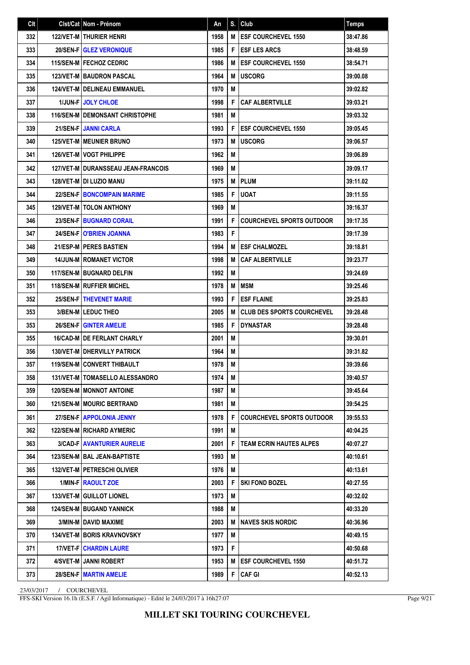| Clt | Clst/Cat Nom - Prénom                       | An   | S. | Club                              | <b>Temps</b> |
|-----|---------------------------------------------|------|----|-----------------------------------|--------------|
| 332 | <b>122/VET-M   THURIER HENRI</b>            | 1958 | M  | <b>ESF COURCHEVEL 1550</b>        | 38:47.86     |
| 333 | <b>20/SEN-FIGLEZ VERONIQUE</b>              | 1985 | F  | <b>ESF LES ARCS</b>               | 38:48.59     |
| 334 | <b>115/SEN-M   FECHOZ CEDRIC</b>            | 1986 | M  | <b>ESF COURCHEVEL 1550</b>        | 38:54.71     |
| 335 | <b>123/VET-M BAUDRON PASCAL</b>             | 1964 | M  | <b>USCORG</b>                     | 39:00.08     |
| 336 | <b>124/VET-M   DELINEAU EMMANUEL</b>        | 1970 | M  |                                   | 39:02.82     |
| 337 | <b>1/JUN-FIJOLY CHLOE</b>                   | 1998 | F  | <b>CAF ALBERTVILLE</b>            | 39:03.21     |
| 338 | <b>116/SEN-M I DEMONSANT CHRISTOPHE</b>     | 1981 | M  |                                   | 39:03.32     |
| 339 | <b>21/SEN-FIJANNI CARLA</b>                 | 1993 | F  | <b>ESF COURCHEVEL 1550</b>        | 39:05.45     |
| 340 | <b>125/VET-M   MEUNIER BRUNO</b>            | 1973 | M  | <b>USCORG</b>                     | 39:06.57     |
| 341 | <b>126/VET-M   VOGT PHILIPPE</b>            | 1962 | М  |                                   | 39:06.89     |
| 342 | <b>127/VET-M I DURANSSEAU JEAN-FRANCOIS</b> | 1969 | M  |                                   | 39:09.17     |
| 343 | <b>128/VET-M I DI LUZIO MANU</b>            | 1975 | M  | <b>PLUM</b>                       | 39:11.02     |
| 344 | <b>22/SEN-FIBONCOMPAIN MARIME</b>           | 1985 | F  | <b>UOAT</b>                       | 39:11.55     |
| 345 | <b>129/VET-MITOLON ANTHONY</b>              | 1969 | M  |                                   | 39:16.37     |
| 346 | <b>23/SEN-FIBUGNARD CORAIL</b>              | 1991 | F  | <b>COURCHEVEL SPORTS OUTDOOR</b>  | 39:17.35     |
| 347 | <b>24/SEN-FIO'BRIEN JOANNA</b>              | 1983 | F  |                                   | 39:17.39     |
| 348 | 21/ESP-M   PERES BASTIEN                    | 1994 | M  | <b>ESF CHALMOZEL</b>              | 39:18.81     |
| 349 | <b>14/JUN-M   ROMANET VICTOR</b>            | 1998 | M  | <b>CAF ALBERTVILLE</b>            | 39:23.77     |
| 350 | <b>117/SEN-M BUGNARD DELFIN</b>             | 1992 | M  |                                   | 39:24.69     |
| 351 | <b>118/SEN-M   RUFFIER MICHEL</b>           | 1978 | M  | MSM                               | 39:25.46     |
| 352 | <b>25/SEN-FITHEVENET MARIE</b>              | 1993 | F  | <b>ESF FLAINE</b>                 | 39:25.83     |
| 353 | 3/BEN-M LEDUC THEO                          | 2005 | M  | <b>CLUB DES SPORTS COURCHEVEL</b> | 39:28.48     |
| 353 | <b>26/SEN-FIGINTER AMELIE</b>               | 1985 | F  | <b>DYNASTAR</b>                   | 39:28.48     |
| 355 | 16/CAD-M   DE FERLANT CHARLY                | 2001 | M  |                                   | 39:30.01     |
| 356 | <b>130/VET-M DHERVILLY PATRICK</b>          | 1964 | М  |                                   | 39:31.82     |
| 357 | 119/SEN-M CONVERT THIBAULT                  | 1978 | M  |                                   | 39:39.66     |
| 358 | 131/VET-M   TOMASELLO ALESSANDRO            | 1974 | M  |                                   | 39:40.57     |
| 359 | <b>120/SEN-M   MONNOT ANTOINE</b>           | 1987 | M  |                                   | 39:45.64     |
| 360 | <b>121/SEN-M   MOURIC BERTRAND</b>          | 1981 | M  |                                   | 39:54.25     |
| 361 | 27/SEN-FI APPOLONIA JENNY                   | 1978 | F  | <b>COURCHEVEL SPORTS OUTDOOR</b>  | 39:55.53     |
| 362 | <b>122/SEN-M   RICHARD AYMERIC</b>          | 1991 | M  |                                   | 40:04.25     |
| 363 | <b>3/CAD-FIAVANTURIER AURELIE</b>           | 2001 | F  | <b>TEAM ECRIN HAUTES ALPES</b>    | 40:07.27     |
| 364 | <b>123/SEN-M   BAL JEAN-BAPTISTE</b>        | 1993 | M  |                                   | 40:10.61     |
| 365 | 132/VET-M   PETRESCHI OLIVIER               | 1976 | M  |                                   | 40:13.61     |
| 366 | 1/MIN-F RAOULT ZOE                          | 2003 | F  | <b>SKI FOND BOZEL</b>             | 40:27.55     |
| 367 | 133/VET-M GUILLOT LIONEL                    | 1973 | M  |                                   | 40:32.02     |
| 368 | 124/SEN-M BUGAND YANNICK                    | 1988 | M  |                                   | 40:33.20     |
| 369 | 3/MIN-M   DAVID MAXIME                      | 2003 | M  | <b>NAVES SKIS NORDIC</b>          | 40:36.96     |
| 370 | <b>134/VET-M BORIS KRAVNOVSKY</b>           | 1977 | M  |                                   | 40:49.15     |
| 371 | <b>17/VET-F   CHARDIN LAURE</b>             | 1973 | F  |                                   | 40:50.68     |
| 372 | 4/SVET-M   JANNI ROBERT                     | 1953 | M  | <b>ESF COURCHEVEL 1550</b>        | 40:51.72     |
| 373 | 28/SEN-F   MARTIN AMELIE                    | 1989 | F  | <b>CAF GI</b>                     | 40:52.13     |

FFS-SKI Version 16.1h (E.S.F. / Agil Informatique) - Edité le 24/03/2017 à 16h27:07

Page 9/21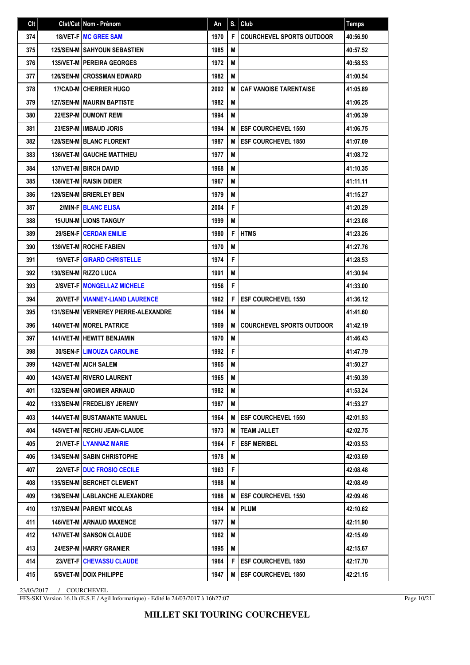| Clt | Clst/Cat   Nom - Prénom                  | An   | S. | Club                             | <b>Temps</b> |
|-----|------------------------------------------|------|----|----------------------------------|--------------|
| 374 | 18/VET-F   MC GREE SAM                   | 1970 | F  | <b>COURCHEVEL SPORTS OUTDOOR</b> | 40:56.90     |
| 375 | <b>125/SEN-M SAHYOUN SEBASTIEN</b>       | 1985 | M  |                                  | 40:57.52     |
| 376 | <b>135/VET-M PEREIRA GEORGES</b>         | 1972 | M  |                                  | 40:58.53     |
| 377 | <b>126/SEN-M CROSSMAN EDWARD</b>         | 1982 | М  |                                  | 41:00.54     |
| 378 | 17/CAD-M CHERRIER HUGO                   | 2002 | M  | <b>CAF VANOISE TARENTAISE</b>    | 41:05.89     |
| 379 | <b>127/SEN-M MAURIN BAPTISTE</b>         | 1982 | M  |                                  | 41:06.25     |
| 380 | 22/ESP-M DUMONT REMI                     | 1994 | М  |                                  | 41:06.39     |
| 381 | 23/ESP-M IMBAUD JORIS                    | 1994 | M  | <b>ESF COURCHEVEL 1550</b>       | 41:06.75     |
| 382 | <b>128/SEN-M   BLANC FLORENT</b>         | 1987 | M  | <b>ESF COURCHEVEL 1850</b>       | 41:07.09     |
| 383 | <b>136/VET-M GAUCHE MATTHIEU</b>         | 1977 | M  |                                  | 41:08.72     |
| 384 | <b>137/VET-M BIRCH DAVID</b>             | 1968 | M  |                                  | 41:10.35     |
| 385 | <b>138/VET-M   RAISIN DIDIER</b>         | 1967 | М  |                                  | 41:11.11     |
| 386 | 129/SEN-M   BRIERLEY BEN                 | 1979 | M  |                                  | 41:15.27     |
| 387 | 2/MIN-F BLANC ELISA                      | 2004 | F  |                                  | 41:20.29     |
| 388 | <b>15/JUN-MILIONS TANGUY</b>             | 1999 | M  |                                  | 41:23.08     |
| 389 | 29/SEN-F CERDAN EMILIE                   | 1980 | F  | <b>HTMS</b>                      | 41:23.26     |
| 390 | 139/VET-M ROCHE FABIEN                   | 1970 | M  |                                  | 41:27.76     |
| 391 | <b>19/VET-F GIRARD CHRISTELLE</b>        | 1974 | F  |                                  | 41:28.53     |
| 392 | 130/SEN-M   RIZZO LUCA                   | 1991 | M  |                                  | 41:30.94     |
| 393 | 2/SVET-FIMONGELLAZ MICHELE               | 1956 | F  |                                  | 41:33.00     |
| 394 | <b>20/VET-F   VIANNEY-LIAND LAURENCE</b> | 1962 | F  | <b>ESF COURCHEVEL 1550</b>       | 41:36.12     |
| 395 | 131/SEN-M   VERNEREY PIERRE-ALEXANDRE    | 1984 | M  |                                  | 41:41.60     |
| 396 | <b>140/VET-M   MOREL PATRICE</b>         | 1969 | M  | <b>COURCHEVEL SPORTS OUTDOOR</b> | 41:42.19     |
| 397 | <b>141/VET-M HEWITT BENJAMIN</b>         | 1970 | М  |                                  | 41:46.43     |
| 398 | <b>30/SEN-FILIMOUZA CAROLINE</b>         | 1992 | F  |                                  | 41:47.79     |
| 399 | <b>142/VET-M AICH SALEM</b>              | 1965 | M  |                                  | 41:50.27     |
| 400 | <b>143/VET-M   RIVERO LAURENT</b>        | 1965 | M  |                                  | 41:50.39     |
| 401 | 132/SEN-M GROMIER ARNAUD                 | 1982 | M  |                                  | 41:53.24     |
| 402 | <b>133/SEN-MIFREDELISY JEREMY</b>        | 1987 | M  |                                  | 41:53.27     |
| 403 | <b>144/VET-M   BUSTAMANTE MANUEL</b>     | 1964 | M  | <b>ESF COURCHEVEL 1550</b>       | 42:01.93     |
| 404 | 145/VET-M   RECHU JEAN-CLAUDE            | 1973 | M  | <b>TEAM JALLET</b>               | 42:02.75     |
| 405 | 21/VET-F LYANNAZ MARIE                   | 1964 | F  | <b>ESF MERIBEL</b>               | 42:03.53     |
| 406 | <b>134/SEN-MISABIN CHRISTOPHE</b>        | 1978 | M  |                                  | 42:03.69     |
| 407 | 22/VET-F   DUC FROSIO CECILE             | 1963 | F  |                                  | 42:08.48     |
| 408 | 135/SEN-M   BERCHET CLEMENT              | 1988 | М  |                                  | 42:08.49     |
| 409 | <b>136/SEN-M LABLANCHE ALEXANDRE</b>     | 1988 | M  | <b>ESF COURCHEVEL 1550</b>       | 42:09.46     |
| 410 | 137/SEN-M   PARENT NICOLAS               | 1984 | M  | <b>PLUM</b>                      | 42:10.62     |
| 411 | <b>146/VET-M   ARNAUD MAXENCE</b>        | 1977 | М  |                                  | 42:11.90     |
| 412 | <b>147/VET-M SANSON CLAUDE</b>           | 1962 | M  |                                  | 42:15.49     |
| 413 | <b>24/ESP-M HARRY GRANIER</b>            | 1995 | М  |                                  | 42:15.67     |
| 414 | <b>23/VET-FICHEVASSU CLAUDE</b>          | 1964 | F  | <b>ESF COURCHEVEL 1850</b>       | 42:17.70     |
| 415 | 5/SVET-M   DOIX PHILIPPE                 | 1947 | M  | <b>ESF COURCHEVEL 1850</b>       | 42:21.15     |

FFS-SKI Version 16.1h (E.S.F. / Agil Informatique) - Edité le 24/03/2017 à 16h27:07

Page 10/21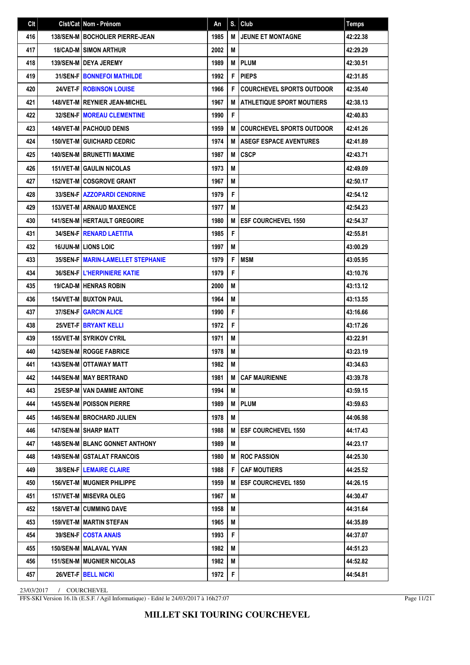| Clt | Clst/Cat Nom - Prénom                    | An   | S. | Club                             | <b>Temps</b> |
|-----|------------------------------------------|------|----|----------------------------------|--------------|
| 416 | <b>138/SEN-M   BOCHOLIER PIERRE-JEAN</b> | 1985 | M  | <b>JEUNE ET MONTAGNE</b>         | 42:22.38     |
| 417 | <b>18/CAD-M SIMON ARTHUR</b>             | 2002 | M  |                                  | 42:29.29     |
| 418 | <b>139/SEN-MIDEYA JEREMY</b>             | 1989 | M  | <b>PLUM</b>                      | 42:30.51     |
| 419 | <b>31/SEN-FIBONNEFOI MATHILDE</b>        | 1992 | F  | <b>PIEPS</b>                     | 42:31.85     |
| 420 | <b>24/VET-F   ROBINSON LOUISE</b>        | 1966 | F  | <b>COURCHEVEL SPORTS OUTDOOR</b> | 42:35.40     |
| 421 | <b>148/VET-M   REYNIER JEAN-MICHEL</b>   | 1967 | M  | <b>ATHLETIQUE SPORT MOUTIERS</b> | 42:38.13     |
| 422 | <b>32/SEN-FIMOREAU CLEMENTINE</b>        | 1990 | F  |                                  | 42:40.83     |
| 423 | <b>149/VET-M   PACHOUD DENIS</b>         | 1959 | M  | <b>COURCHEVEL SPORTS OUTDOOR</b> | 42:41.26     |
| 424 | <b>150/VET-M GUICHARD CEDRIC</b>         | 1974 | M  | <b>ASEGF ESPACE AVENTURES</b>    | 42:41.89     |
| 425 | <b>140/SEN-M   BRUNETTI MAXIME</b>       | 1987 | M  | <b>CSCP</b>                      | 42:43.71     |
| 426 | <b>151/VET-M GAULIN NICOLAS</b>          | 1973 | M  |                                  | 42:49.09     |
| 427 | <b>152/VET-MICOSGROVE GRANT</b>          | 1967 | М  |                                  | 42:50.17     |
| 428 | 33/SEN-FIAZZOPARDI CENDRINE              | 1979 | F  |                                  | 42:54.12     |
| 429 | <b>153/VET-M ARNAUD MAXENCE</b>          | 1977 | М  |                                  | 42:54.23     |
| 430 | <b>141/SEN-M   HERTAULT GREGOIRE</b>     | 1980 | M  | <b>ESF COURCHEVEL 1550</b>       | 42:54.37     |
| 431 | <b>34/SEN-FIRENARD LAETITIA</b>          | 1985 | F  |                                  | 42:55.81     |
| 432 | <b>16/JUN-M LIONS LOIC</b>               | 1997 | М  |                                  | 43:00.29     |
| 433 | 35/SEN-F   MARIN-LAMELLET STEPHANIE      | 1979 | F  | <b>MSM</b>                       | 43:05.95     |
| 434 | <b>36/SEN-FIL'HERPINIERE KATIE</b>       | 1979 | F  |                                  | 43:10.76     |
| 435 | 19/CAD-M   HENRAS ROBIN                  | 2000 | M  |                                  | 43:13.12     |
| 436 | <b>154/VET-M I BUXTON PAUL</b>           | 1964 | М  |                                  | 43:13.55     |
| 437 | <b>37/SEN-F GARCIN ALICE</b>             | 1990 | F  |                                  | 43:16.66     |
| 438 | 25/VET-F BRYANT KELLI                    | 1972 | F  |                                  | 43:17.26     |
| 439 | 155/VET-M SYRIKOV CYRIL                  | 1971 | М  |                                  | 43:22.91     |
| 440 | <b>142/SEN-M   ROGGE FABRICE</b>         | 1978 | M  |                                  | 43:23.19     |
| 441 | 143/SEN-M OTTAWAY MATT                   | 1982 | М  |                                  | 43:34.63     |
| 442 | 144/SEN-M   MAY BERTRAND                 | 1981 | M  | <b>CAF MAURIENNE</b>             | 43:39.78     |
| 443 | 25/ESP-M VAN DAMME ANTOINE               | 1994 | M  |                                  | 43:59.15     |
| 444 | <b>145/SEN-M   POISSON PIERRE</b>        | 1989 | M  | <b>PLUM</b>                      | 43:59.63     |
| 445 | <b>146/SEN-M   BROCHARD JULIEN</b>       | 1978 | M  |                                  | 44:06.98     |
| 446 | 147/SEN-M SHARP MATT                     | 1988 | M  | <b>ESF COURCHEVEL 1550</b>       | 44:17.43     |
| 447 | <b>148/SEN-M   BLANC GONNET ANTHONY</b>  | 1989 | M  |                                  | 44:23.17     |
| 448 | <b>149/SEN-M   GSTALAT FRANCOIS</b>      | 1980 | M  | <b>ROC PASSION</b>               | 44:25.30     |
| 449 | <b>38/SEN-FILEMAIRE CLAIRE</b>           | 1988 | F  | <b>CAF MOUTIERS</b>              | 44:25.52     |
| 450 | <b>156/VET-M   MUGNIER PHILIPPE</b>      | 1959 | M  | <b>ESF COURCHEVEL 1850</b>       | 44:26.15     |
| 451 | 157/VET-M MISEVRA OLEG                   | 1967 | M  |                                  | 44:30.47     |
| 452 | <b>158/VET-M CUMMING DAVE</b>            | 1958 | M  |                                  | 44:31.64     |
| 453 | <b>159/VET-M   MARTIN STEFAN</b>         | 1965 | М  |                                  | 44:35.89     |
| 454 | 39/SEN-F COSTA ANAIS                     | 1993 | F  |                                  | 44:37.07     |
| 455 | 150/SEN-M   MALAVAL YVAN                 | 1982 | М  |                                  | 44:51.23     |
| 456 | <b>151/SEN-M   MUGNIER NICOLAS</b>       | 1982 | M  |                                  | 44:52.82     |
| 457 | 26/VET-FIBELL NICKI                      | 1972 | F  |                                  | 44:54.81     |

FFS-SKI Version 16.1h (E.S.F. / Agil Informatique) - Edité le 24/03/2017 à 16h27:07

Page 11/21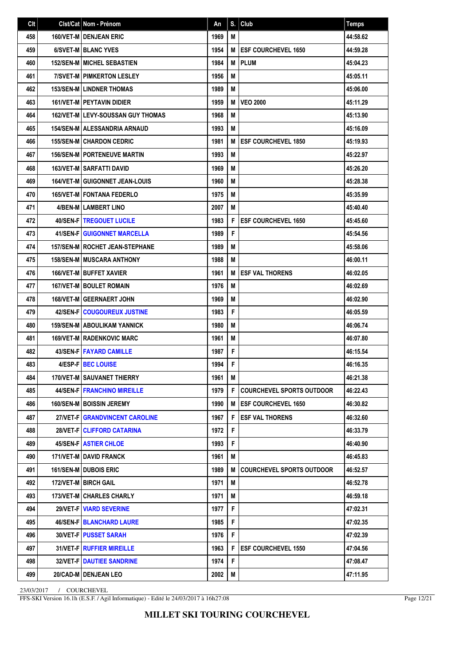| Clt | Clst/Cat Nom - Prénom                    | An   | S. | Club                             | Temps    |
|-----|------------------------------------------|------|----|----------------------------------|----------|
| 458 | 160/VET-M DENJEAN ERIC                   | 1969 | M  |                                  | 44:58.62 |
| 459 | 6/SVET-M BLANC YVES                      | 1954 | M  | <b>ESF COURCHEVEL 1650</b>       | 44:59.28 |
| 460 | <b>152/SEN-M   MICHEL SEBASTIEN</b>      | 1984 | M  | <b>PLUM</b>                      | 45:04.23 |
| 461 | 7/SVET-M   PIMKERTON LESLEY              | 1956 | M  |                                  | 45:05.11 |
| 462 | <b>153/SEN-M LINDNER THOMAS</b>          | 1989 | М  |                                  | 45:06.00 |
| 463 | 161/VET-M PEYTAVIN DIDIER                | 1959 | M  | <b>VEO 2000</b>                  | 45:11.29 |
| 464 | <b>162/VET-MILEVY-SOUSSAN GUY THOMAS</b> | 1968 | М  |                                  | 45:13.90 |
| 465 | <b>154/SEN-M   ALESSANDRIA ARNAUD</b>    | 1993 | M  |                                  | 45:16.09 |
| 466 | <b>155/SEN-M CHARDON CEDRIC</b>          | 1981 | M  | <b>ESF COURCHEVEL 1850</b>       | 45:19.93 |
| 467 | <b>156/SEN-MIPORTENEUVE MARTIN</b>       | 1993 | M  |                                  | 45:22.97 |
| 468 | <b>163/VET-M   SARFATTI DAVID</b>        | 1969 | M  |                                  | 45:26.20 |
| 469 | <b>164/VET-M GUIGONNET JEAN-LOUIS</b>    | 1960 | М  |                                  | 45:28.38 |
| 470 | <b>165/VET-MIFONTANA FEDERLO</b>         | 1975 | M  |                                  | 45:35.99 |
| 471 | 4/BEN-M   LAMBERT LINO                   | 2007 | М  |                                  | 45:40.40 |
| 472 | <b>40/SEN-F   TREGOUET LUCILE</b>        | 1983 | F  | <b>ESF COURCHEVEL 1650</b>       | 45:45.60 |
| 473 | 41/SEN-F GUIGONNET MARCELLA              | 1989 | F  |                                  | 45:54.56 |
| 474 | 157/SEN-M   ROCHET JEAN-STEPHANE         | 1989 | М  |                                  | 45:58.06 |
| 475 | <b>158/SEN-M I MUSCARA ANTHONY</b>       | 1988 | М  |                                  | 46:00.11 |
| 476 | 166/VET-M BUFFET XAVIER                  | 1961 | M  | <b>ESF VAL THORENS</b>           | 46:02.05 |
| 477 | <b>167/VET-M   BOULET ROMAIN</b>         | 1976 | М  |                                  | 46:02.69 |
| 478 | <b>168/VET-MIGEERNAERT JOHN</b>          | 1969 | M  |                                  | 46:02.90 |
| 479 | <b>42/SEN-FICOUGOUREUX JUSTINE</b>       | 1983 | F  |                                  | 46:05.59 |
| 480 | <b>159/SEN-M ABOULIKAM YANNICK</b>       | 1980 | М  |                                  | 46:06.74 |
| 481 | <b>169/VET-M   RADENKOVIC MARC</b>       | 1961 | М  |                                  | 46:07.80 |
| 482 | <b>43/SEN-FIFAYARD CAMILLE</b>           | 1987 | F  |                                  | 46:15.54 |
| 483 | 4/ESP-FIBEC LOUISE                       | 1994 | F  |                                  | 46:16.35 |
| 484 | 170/VET-M SAUVANET THIERRY               | 1961 | M  |                                  | 46:21.38 |
| 485 | <b>44/SEN-F   FRANCHINO MIREILLE</b>     | 1979 | F  | <b>COURCHEVEL SPORTS OUTDOOR</b> | 46:22.43 |
| 486 | 160/SEN-M BOISSIN JEREMY                 | 1990 | M  | <b>ESF COURCHEVEL 1650</b>       | 46:30.82 |
| 487 | 27/VET-F GRANDVINCENT CAROLINE           | 1967 | F  | <b>ESF VAL THORENS</b>           | 46:32.60 |
| 488 | 28/VET-F   CLIFFORD CATARINA             | 1972 | F  |                                  | 46:33.79 |
| 489 | 45/SEN-F ASTIER CHLOE                    | 1993 | F  |                                  | 46:40.90 |
| 490 | <b>171/VET-M   DAVID FRANCK</b>          | 1961 | M  |                                  | 46:45.83 |
| 491 | 161/SEN-M DUBOIS ERIC                    | 1989 | M  | <b>COURCHEVEL SPORTS OUTDOOR</b> | 46:52.57 |
| 492 | 172/VET-M   BIRCH GAIL                   | 1971 | M  |                                  | 46:52.78 |
| 493 | 173/VET-M CHARLES CHARLY                 | 1971 | M  |                                  | 46:59.18 |
| 494 | <b>29/VET-FIVIARD SEVERINE</b>           | 1977 | F  |                                  | 47:02.31 |
| 495 | <b>46/SEN-F   BLANCHARD LAURE</b>        | 1985 | F  |                                  | 47:02.35 |
| 496 | <b>30/VET-FIPUSSET SARAH</b>             | 1976 | F  |                                  | 47:02.39 |
| 497 | 31/VET-F   RUFFIER MIREILLE              | 1963 | F  | <b>ESF COURCHEVEL 1550</b>       | 47:04.56 |
| 498 | 32/VET-F   DAUTIEE SANDRINE              | 1974 | F  |                                  | 47:08.47 |
| 499 | 20/CAD-M DENJEAN LEO                     | 2002 | M  |                                  | 47:11.95 |

FFS-SKI Version 16.1h (E.S.F. / Agil Informatique) - Edité le 24/03/2017 à 16h27:08

Page 12/21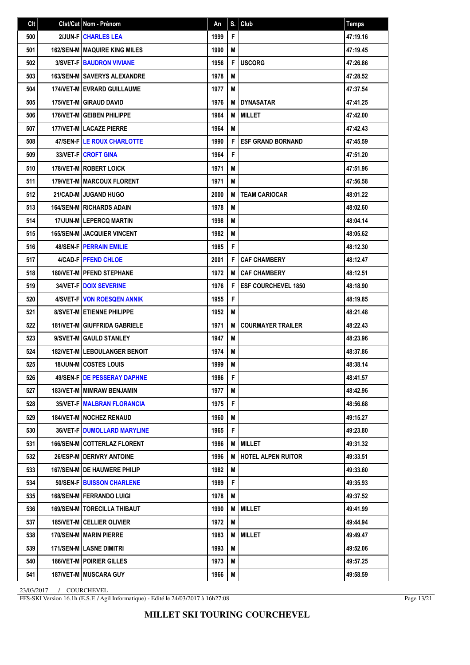| Clt | Cist/Cat   Nom - Prénom               | An   | S. | Club                       | <b>Temps</b> |
|-----|---------------------------------------|------|----|----------------------------|--------------|
| 500 | 2/JUN-F CHARLES LEA                   | 1999 | F  |                            | 47:19.16     |
| 501 | <b>162/SEN-M MAQUIRE KING MILES</b>   | 1990 | M  |                            | 47:19.45     |
| 502 | <b>3/SVET-FIBAUDRON VIVIANE</b>       | 1956 | F  | <b>USCORG</b>              | 47:26.86     |
| 503 | <b>163/SEN-MISAVERYS ALEXANDRE</b>    | 1978 | M  |                            | 47:28.52     |
| 504 | <b>174/VET-M EVRARD GUILLAUME</b>     | 1977 | M  |                            | 47:37.54     |
| 505 | <b>175/VET-M GIRAUD DAVID</b>         | 1976 | M  | <b>DYNASATAR</b>           | 47:41.25     |
| 506 | <b>176/VET-M GEIBEN PHILIPPE</b>      | 1964 | M  | <b>MILLET</b>              | 47:42.00     |
| 507 | <b>177/VET-M LACAZE PIERRE</b>        | 1964 | M  |                            | 47:42.43     |
| 508 | 47/SEN-F LE ROUX CHARLOTTE            | 1990 | F  | <b>ESF GRAND BORNAND</b>   | 47:45.59     |
| 509 | <b>33/VET-FICROFT GINA</b>            | 1964 | F  |                            | 47:51.20     |
| 510 | 178/VET-M ROBERT LOICK                | 1971 | M  |                            | 47:51.96     |
| 511 | <b>179/VET-M MARCOUX FLORENT</b>      | 1971 | M  |                            | 47:56.58     |
| 512 | 21/CAD-M JUGAND HUGO                  | 2000 | M  | <b>TEAM CARIOCAR</b>       | 48:01.22     |
| 513 | <b>164/SEN-M RICHARDS ADAIN</b>       | 1978 | M  |                            | 48:02.60     |
| 514 | <b>17/JUN-MILEPERCQ MARTIN</b>        | 1998 | M  |                            | 48:04.14     |
| 515 | <b>165/SEN-M   JACQUIER VINCENT</b>   | 1982 | M  |                            | 48:05.62     |
| 516 | <b>48/SEN-FIPERRAIN EMILIE</b>        | 1985 | F  |                            | 48:12.30     |
| 517 | 4/CAD-F   PFEND CHLOE                 | 2001 | F  | <b>CAF CHAMBERY</b>        | 48:12.47     |
| 518 | <b>180/VET-MIPFEND STEPHANE</b>       | 1972 | M  | <b>CAF CHAMBERY</b>        | 48:12.51     |
| 519 | <b>34/VET-F   DOIX SEVERINE</b>       | 1976 | F  | <b>ESF COURCHEVEL 1850</b> | 48:18.90     |
| 520 | 4/SVET-F VON ROESQEN ANNIK            | 1955 | F  |                            | 48:19.85     |
| 521 | <b>8/SVET-MI ETIENNE PHILIPPE</b>     | 1952 | M  |                            | 48:21.48     |
| 522 | <b>181/VET-M GIUFFRIDA GABRIELE</b>   | 1971 | M  | <b>COURMAYER TRAILER</b>   | 48:22.43     |
| 523 | 9/SVET-M GAULD STANLEY                | 1947 | M  |                            | 48:23.96     |
| 524 | <b>182/VET-M   LEBOULANGER BENOIT</b> | 1974 | M  |                            | 48:37.86     |
| 525 | 18/JUN-M COSTES LOUIS                 | 1999 | M  |                            | 48:38.14     |
| 526 | <b>49/SEN-FIDE PESSERAY DAPHNE</b>    | 1986 | F. |                            | 48:41.57     |
| 527 | <b>183/VET-M MIMRAW BENJAMIN</b>      | 1977 | M  |                            | 48:42.96     |
| 528 | <b>35/VET-F MALBRAN FLORANCIA</b>     | 1975 | F  |                            | 48:56.68     |
| 529 | <b>184/VET-M   NOCHEZ RENAUD</b>      | 1960 | M  |                            | 49:15.27     |
| 530 | <b>36/VET-F DUMOLLARD MARYLINE</b>    | 1965 | F  |                            | 49:23.80     |
| 531 | <b>166/SEN-MICOTTERLAZ FLORENT</b>    | 1986 | M  | <b>I MILLET</b>            | 49:31.32     |
| 532 | 26/ESP-M   DERIVRY ANTOINE            | 1996 | M  | <b>HOTEL ALPEN RUITOR</b>  | 49:33.51     |
| 533 | 167/SEN-M DE HAUWERE PHILIP           | 1982 | M  |                            | 49:33.60     |
| 534 | 50/SEN-F BUISSON CHARLENE             | 1989 | F  |                            | 49:35.93     |
| 535 | 168/SEN-M   FERRANDO LUIGI            | 1978 | M  |                            | 49:37.52     |
| 536 | <b>169/SEN-M   TORECILLA THIBAUT</b>  | 1990 | M  | <b>MILLET</b>              | 49:41.99     |
| 537 | 185/VET-M   CELLIER OLIVIER           | 1972 | M  |                            | 49:44.94     |
| 538 | 170/SEN-M   MARIN PIERRE              | 1983 | M  | <b>MILLET</b>              | 49:49.47     |
| 539 | 171/SEN-M LASNE DIMITRI               | 1993 | M  |                            | 49:52.06     |
| 540 | <b>186/VET-M   POIRIER GILLES</b>     | 1973 | M  |                            | 49:57.25     |
| 541 | 187/VET-M   MUSCARA GUY               | 1966 | M  |                            | 49:58.59     |

FFS-SKI Version 16.1h (E.S.F. / Agil Informatique) - Edité le 24/03/2017 à 16h27:08

Page 13/21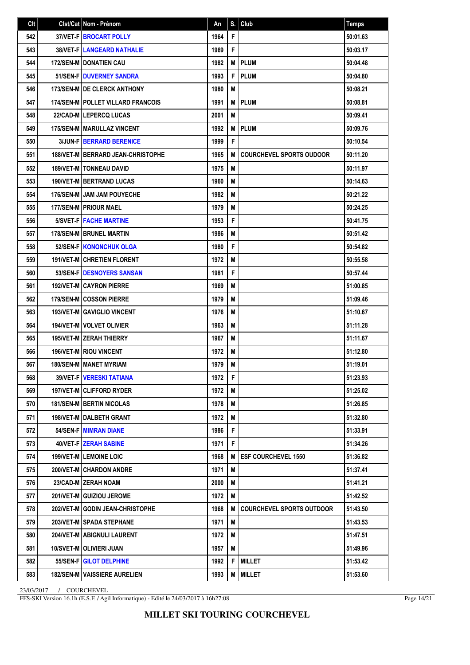| Clt | Clst/Cat Nom - Prénom                      | An   | S. | <b>Club</b>                      | <b>Temps</b> |
|-----|--------------------------------------------|------|----|----------------------------------|--------------|
| 542 | 37/VET-F   BROCART POLLY                   | 1964 | F  |                                  | 50:01.63     |
| 543 | <b>38/VET-FILANGEARD NATHALIE</b>          | 1969 | F  |                                  | 50:03.17     |
| 544 | <b>172/SEN-M I DONATIEN CAU</b>            | 1982 | M  | <b>PLUM</b>                      | 50:04.48     |
| 545 | 51/SEN-F DUVERNEY SANDRA                   | 1993 | F  | <b>PLUM</b>                      | 50:04.80     |
| 546 | 173/SEN-M DE CLERCK ANTHONY                | 1980 | М  |                                  | 50:08.21     |
| 547 | <b>174/SEN-M   POLLET VILLARD FRANCOIS</b> | 1991 | M  | <b>PLUM</b>                      | 50:08.81     |
| 548 | <b>22/CAD-MILEPERCQ LUCAS</b>              | 2001 | М  |                                  | 50:09.41     |
| 549 | 175/SEN-M   MARULLAZ VINCENT               | 1992 | M  | <b>PLUM</b>                      | 50:09.76     |
| 550 | <b>3/JUN-FIBERRARD BERENICE</b>            | 1999 | F  |                                  | 50:10.54     |
| 551 | <b>188/VET-M   BERRARD JEAN-CHRISTOPHE</b> | 1965 | M  | <b>COURCHEVEL SPORTS OUDOOR</b>  | 50:11.20     |
| 552 | 189/VET-M   TONNEAU DAVID                  | 1975 | M  |                                  | 50:11.97     |
| 553 | 190/VET-M   BERTRAND LUCAS                 | 1960 | М  |                                  | 50:14.63     |
| 554 | 176/SEN-M JAM JAM POUYECHE                 | 1982 | М  |                                  | 50:21.22     |
| 555 | 177/SEN-M PRIOUR MAEL                      | 1979 | М  |                                  | 50:24.25     |
| 556 | <b>5/SVET-FIFACHE MARTINE</b>              | 1953 | F  |                                  | 50:41.75     |
| 557 | <b>178/SEN-MIBRUNEL MARTIN</b>             | 1986 | М  |                                  | 50:51.42     |
| 558 | <b>52/SEN-F KONONCHUK OLGA</b>             | 1980 | F  |                                  | 50:54.82     |
| 559 | 191/VET-M CHRETIEN FLORENT                 | 1972 | М  |                                  | 50:55.58     |
| 560 | 53/SEN-F   DESNOYERS SANSAN                | 1981 | F  |                                  | 50:57.44     |
| 561 | <b>192/VET-MICAYRON PIERRE</b>             | 1969 | М  |                                  | 51:00.85     |
| 562 | <b>179/SEN-MICOSSON PIERRE</b>             | 1979 | M  |                                  | 51:09.46     |
| 563 | <b>193/VET-M GAVIGLIO VINCENT</b>          | 1976 | М  |                                  | 51:10.67     |
| 564 | <b>194/VET-M   VOLVET OLIVIER</b>          | 1963 | М  |                                  | 51:11.28     |
| 565 | <b>195/VET-M   ZERAH THIERRY</b>           | 1967 | М  |                                  | 51:11.67     |
| 566 | <b>196/VET-M RIOU VINCENT</b>              | 1972 | М  |                                  | 51:12.80     |
| 567 | <b>180/SEN-M   MANET MYRIAM</b>            | 1979 | M  |                                  | 51:19.01     |
| 568 | <b>39/VET-F   VERESKI TATIANA</b>          | 1972 | F  |                                  | 51:23.93     |
| 569 | 197/VET-M CLIFFORD RYDER                   | 1972 | M  |                                  | 51:25.02     |
| 570 | <b>181/SEN-M   BERTIN NICOLAS</b>          | 1978 | М  |                                  | 51:26.85     |
| 571 | 198/VET-M   DALBETH GRANT                  | 1972 | M  |                                  | 51:32.80     |
| 572 | <b>54/SEN-F MIMRAN DIANE</b>               | 1986 | F  |                                  | 51:33.91     |
| 573 | <b>40/VET-F ZERAH SABINE</b>               | 1971 | F  |                                  | 51:34.26     |
| 574 | <b>199/VET-M LEMOINE LOIC</b>              | 1968 | M  | <b>ESF COURCHEVEL 1550</b>       | 51:36.82     |
| 575 | 200/VET-M CHARDON ANDRE                    | 1971 | M  |                                  | 51:37.41     |
| 576 | 23/CAD-M ZERAH NOAM                        | 2000 | М  |                                  | 51:41.21     |
| 577 | 201/VET-M GUIZIOU JEROME                   | 1972 | M  |                                  | 51:42.52     |
| 578 | 202/VET-M GODIN JEAN-CHRISTOPHE            | 1968 | M  | <b>COURCHEVEL SPORTS OUTDOOR</b> | 51:43.50     |
| 579 | 203/VET-MISPADA STEPHANE                   | 1971 | М  |                                  | 51:43.53     |
| 580 | 204/VET-M ABIGNULI LAURENT                 | 1972 | M  |                                  | 51:47.51     |
| 581 | 10/SVET-M   OLIVIERI JUAN                  | 1957 | M  |                                  | 51:49.96     |
| 582 | 55/SEN-F GILOT DELPHINE                    | 1992 | F  | <b>MILLET</b>                    | 51:53.42     |
| 583 | <b>182/SEN-M VAISSIERE AURELIEN</b>        | 1993 | M  | MILLET                           | 51:53.60     |

FFS-SKI Version 16.1h (E.S.F. / Agil Informatique) - Edité le 24/03/2017 à 16h27:08

Page 14/21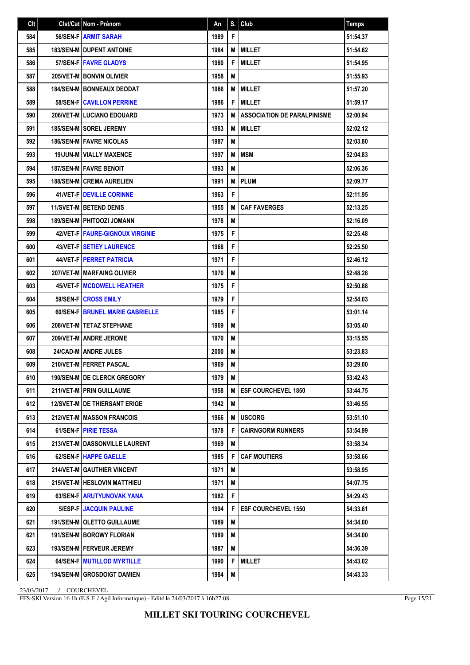| Clt | Clst/Cat Nom - Prénom               | An   | S. | Club                               | <b>Temps</b> |
|-----|-------------------------------------|------|----|------------------------------------|--------------|
| 584 | 56/SEN-F ARMIT SARAH                | 1989 | F  |                                    | 51:54.37     |
| 585 | <b>183/SEN-M I DUPENT ANTOINE</b>   | 1984 | M  | <b>MILLET</b>                      | 51:54.62     |
| 586 | 57/SEN-FIFAVRE GLADYS               | 1980 | F  | <b>MILLET</b>                      | 51:54.95     |
| 587 | 205/VET-M BONVIN OLIVIER            | 1958 | M  |                                    | 51:55.93     |
| 588 | <b>184/SEN-MIBONNEAUX DEODAT</b>    | 1986 | M  | <b>MILLET</b>                      | 51:57.20     |
| 589 | <b>58/SEN-FICAVILLON PERRINE</b>    | 1986 | F  | <b>MILLET</b>                      | 51:59.17     |
| 590 | <b>206/VET-M   LUCIANO EDOUARD</b>  | 1973 | M  | <b>ASSOCIATION DE PARALPINISME</b> | 52:00.94     |
| 591 | <b>185/SEN-M   SOREL JEREMY</b>     | 1983 | M  | <b>MILLET</b>                      | 52:02.12     |
| 592 | <b>186/SEN-M   FAVRE NICOLAS</b>    | 1987 | M  |                                    | 52:03.80     |
| 593 | <b>19/JUN-M   VIALLY MAXENCE</b>    | 1997 | M  | <b>MSM</b>                         | 52:04.83     |
| 594 | 187/SEN-M   FAVRE BENOIT            | 1993 | M  |                                    | 52:06.36     |
| 595 | <b>188/SEN-M CREMA AURELIEN</b>     | 1991 | M  | <b>PLUM</b>                        | 52:09.77     |
| 596 | <b>41/VET-F DEVILLE CORINNE</b>     | 1963 | F  |                                    | 52:11.95     |
| 597 | <b>11/SVET-M BETEND DENIS</b>       | 1955 | M  | <b>CAF FAVERGES</b>                | 52:13.25     |
| 598 | <b>189/SEN-M   PHITOOZI JOMANN</b>  | 1978 | M  |                                    | 52:16.09     |
| 599 | 42/VET-FIFAURE-GIGNOUX VIRGINIE     | 1975 | F  |                                    | 52:25.48     |
| 600 | <b>43/VET-FISETIEY LAURENCE</b>     | 1968 | F  |                                    | 52:25.50     |
| 601 | <b>44/VET-FIPERRET PATRICIA</b>     | 1971 | F  |                                    | 52:46.12     |
| 602 | 207/VET-M   MARFAING OLIVIER        | 1970 | М  |                                    | 52:48.28     |
| 603 | <b>45/VET-FIMCDOWELL HEATHER</b>    | 1975 | F  |                                    | 52:50.88     |
| 604 | 59/SEN-FICROSS EMILY                | 1979 | F  |                                    | 52:54.03     |
| 605 | 60/SEN-F   BRUNEL MARIE GABRIELLE   | 1985 | F  |                                    | 53:01.14     |
| 606 | 208/VET-M   TETAZ STEPHANE          | 1969 | М  |                                    | 53:05.40     |
| 607 | 209/VET-M ANDRE JEROME              | 1970 | M  |                                    | 53:15.55     |
| 608 | <b>24/CAD-M ANDRE JULES</b>         | 2000 | М  |                                    | 53:23.83     |
| 609 | 210/VET-M FERRET PASCAL             | 1969 | M  |                                    | 53:29.00     |
| 610 | 190/SEN-M DE CLERCK GREGORY         | 1979 | M  |                                    | 53:42.43     |
| 611 | 211/VET-M   PRIN GUILLAUME          | 1958 | M  | <b>ESF COURCHEVEL 1850</b>         | 53:44.75     |
| 612 | <b>12/SVET-MIDE THIERSANT ERIGE</b> | 1942 | M  |                                    | 53:46.55     |
| 613 | <b>212/VET-M MASSON FRANCOIS</b>    | 1966 | M  | <b>USCORG</b>                      | 53:51.10     |
| 614 | 61/SEN-F PIRIE TESSA                | 1978 | F  | <b>CAIRNGORM RUNNERS</b>           | 53:54.99     |
| 615 | 213/VET-M I DASSONVILLE LAURENT     | 1969 | М  |                                    | 53:58.34     |
| 616 | 62/SEN-F   HAPPE GAELLE             | 1985 | F  | <b>CAF MOUTIERS</b>                | 53:58.66     |
| 617 | 214/VET-M GAUTHIER VINCENT          | 1971 | М  |                                    | 53:58.95     |
| 618 | 215/VET-M   HESLOVIN MATTHIEU       | 1971 | M  |                                    | 54:07.75     |
| 619 | 63/SEN-F ARUTYUNOVAK YANA           | 1982 | F  |                                    | 54:29.43     |
| 620 | 5/ESP-F   JACQUIN PAULINE           | 1994 | F  | <b>ESF COURCHEVEL 1550</b>         | 54:33.61     |
| 621 | 191/SEN-M   OLETTO GUILLAUME        | 1989 | М  |                                    | 54:34.00     |
| 621 | 191/SEN-M BOROWY FLORIAN            | 1989 | M  |                                    | 54:34.00     |
| 623 | 193/SEN-M   FERVEUR JEREMY          | 1987 | M  |                                    | 54:36.39     |
| 624 | <b>64/SEN-F   MUTILLOD MYRTILLE</b> | 1990 | F  | <b>MILLET</b>                      | 54:43.02     |
| 625 | <b>194/SEN-M   GROSDOIGT DAMIEN</b> | 1984 | M  |                                    | 54:43.33     |

FFS-SKI Version 16.1h (E.S.F. / Agil Informatique) - Edité le 24/03/2017 à 16h27:08

Page 15/21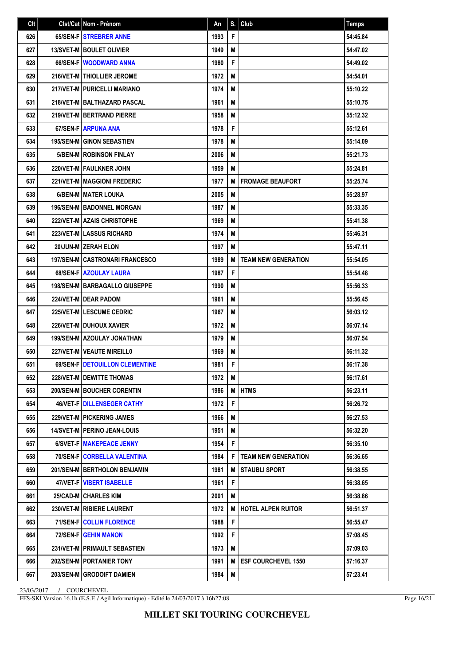| Clt | Clst/Cat Nom - Prénom                  | An   | S. | Club                       | <b>Temps</b> |
|-----|----------------------------------------|------|----|----------------------------|--------------|
| 626 | 65/SEN-F STREBRER ANNE                 | 1993 | F  |                            | 54:45.84     |
| 627 | <b>13/SVET-M   BOULET OLIVIER</b>      | 1949 | M  |                            | 54:47.02     |
| 628 | 66/SEN-F WOODWARD ANNA                 | 1980 | F  |                            | 54:49.02     |
| 629 | 216/VET-M THIOLLIER JEROME             | 1972 | M  |                            | 54:54.01     |
| 630 | 217/VET-M PURICELLI MARIANO            | 1974 | M  |                            | 55:10.22     |
| 631 | 218/VET-M   BALTHAZARD PASCAL          | 1961 | M  |                            | 55:10.75     |
| 632 | <b>219/VET-MIBERTRAND PIERRE</b>       | 1958 | M  |                            | 55:12.32     |
| 633 | 67/SEN-FIARPUNA ANA                    | 1978 | F  |                            | 55:12.61     |
| 634 | <b>195/SEN-M GINON SEBASTIEN</b>       | 1978 | M  |                            | 55:14.09     |
| 635 | <b>5/BEN-MIROBINSON FINLAY</b>         | 2006 | M  |                            | 55:21.73     |
| 636 | 220/VET-M   FAULKNER JOHN              | 1959 | M  |                            | 55:24.81     |
| 637 | 221/VET-M MAGGIONI FREDERIC            | 1977 | M  | <b>FROMAGE BEAUFORT</b>    | 55:25.74     |
| 638 | 6/BEN-M   MATER LOUKA                  | 2005 | M  |                            | 55:28.97     |
| 639 | <b>196/SEN-M BADONNEL MORGAN</b>       | 1987 | M  |                            | 55:33.35     |
| 640 | <b>222/VET-M AZAIS CHRISTOPHE</b>      | 1969 | M  |                            | 55:41.38     |
| 641 | <b>223/VET-MILASSUS RICHARD</b>        | 1974 | M  |                            | 55:46.31     |
| 642 | 20/JUN-M ZERAH ELON                    | 1997 | M  |                            | 55:47.11     |
| 643 | <b>197/SEN-M CASTRONARI FRANCESCO</b>  | 1989 | M  | <b>TEAM NEW GENERATION</b> | 55:54.05     |
| 644 | <b>68/SEN-F AZOULAY LAURA</b>          | 1987 | F  |                            | 55:54.48     |
| 645 | <b>198/SEN-M   BARBAGALLO GIUSEPPE</b> | 1990 | M  |                            | 55:56.33     |
| 646 | 224/VET-M I DEAR PADOM                 | 1961 | M  |                            | 55:56.45     |
| 647 | 225/VET-M LESCUME CEDRIC               | 1967 | M  |                            | 56:03.12     |
| 648 | 226/VET-M DUHOUX XAVIER                | 1972 | M  |                            | 56:07.14     |
| 649 | <b>199/SEN-MI AZOULAY JONATHAN</b>     | 1979 | M  |                            | 56:07.54     |
| 650 | 227/VET-M VEAUTE MIREILL0              | 1969 | M  |                            | 56:11.32     |
| 651 | 69/SEN-F   DETOUILLON CLEMENTINE       | 1981 | F  |                            | 56:17.38     |
| 652 | 228/VET-M   DEWITTE THOMAS             | 1972 | M  |                            | 56:17.61     |
| 653 | 200/SEN-M   BOUCHER CORENTIN           | 1986 | M  | <b>HTMS</b>                | 56:23.11     |
| 654 | <b>46/VET-F   DILLENSEGER CATHY</b>    | 1972 | F  |                            | 56:26.72     |
| 655 | <b>229/VET-MIPICKERING JAMES</b>       | 1966 | M  |                            | 56:27.53     |
| 656 | <b>14/SVET-M PERINO JEAN-LOUIS</b>     | 1951 | M  |                            | 56:32.20     |
| 657 | 6/SVET-FIMAKEPEACE JENNY               | 1954 | F  |                            | 56:35.10     |
| 658 | 70/SEN-F   CORBELLA VALENTINA          | 1984 | F  | <b>TEAM NEW GENERATION</b> | 56:36.65     |
| 659 | 201/SEN-M   BERTHOLON BENJAMIN         | 1981 | M  | <b>STAUBLI SPORT</b>       | 56:38.55     |
| 660 | 47/VET-F   VIBERT ISABELLE             | 1961 | F  |                            | 56:38.65     |
| 661 | 25/CAD-M CHARLES KIM                   | 2001 | M  |                            | 56:38.86     |
| 662 | 230/VET-M   RIBIERE LAURENT            | 1972 | M  | <b>HOTEL ALPEN RUITOR</b>  | 56:51.37     |
| 663 | 71/SEN-F COLLIN FLORENCE               | 1988 | F  |                            | 56:55.47     |
| 664 | <b>72/SEN-F GEHIN MANON</b>            | 1992 | F  |                            | 57:08.45     |
| 665 | 231/VET-M PRIMAULT SEBASTIEN           | 1973 | M  |                            | 57:09.03     |
| 666 | 202/SEN-M   PORTANIER TONY             | 1991 | M  | <b>ESF COURCHEVEL 1550</b> | 57:16.37     |
| 667 | 203/SEN-M GRODOIFT DAMIEN              | 1984 | M  |                            | 57:23.41     |

FFS-SKI Version 16.1h (E.S.F. / Agil Informatique) - Edité le 24/03/2017 à 16h27:08

Page 16/21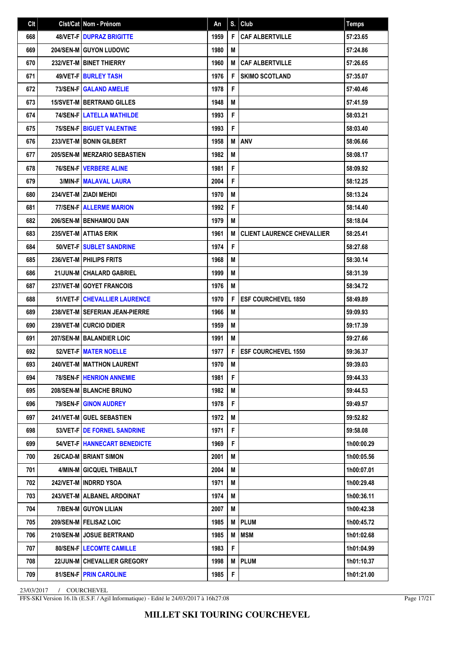| Clt | Clst/Cat Nom - Prénom                | An   | S. | Club                              | <b>Temps</b> |
|-----|--------------------------------------|------|----|-----------------------------------|--------------|
| 668 | <b>48/VET-FIDUPRAZ BRIGITTE</b>      | 1959 | F  | <b>CAF ALBERTVILLE</b>            | 57:23.65     |
| 669 | <b>204/SEN-M GUYON LUDOVIC</b>       | 1980 | M  |                                   | 57:24.86     |
| 670 | 232/VET-M BINET THIERRY              | 1960 | M  | <b>CAF ALBERTVILLE</b>            | 57:26.65     |
| 671 | <b>49/VET-FIBURLEY TASH</b>          | 1976 | F  | <b>SKIMO SCOTLAND</b>             | 57:35.07     |
| 672 | 73/SEN-F GALAND AMELIE               | 1978 | F  |                                   | 57:40.46     |
| 673 | <b>15/SVET-M BERTRAND GILLES</b>     | 1948 | М  |                                   | 57:41.59     |
| 674 | <b>74/SEN-FILATELLA MATHILDE</b>     | 1993 | F  |                                   | 58:03.21     |
| 675 | <b>75/SEN-F   BIGUET VALENTINE</b>   | 1993 | F  |                                   | 58:03.40     |
| 676 | 233/VET-M   BONIN GILBERT            | 1958 | M  | <b>ANV</b>                        | 58:06.66     |
| 677 | 205/SEN-M MERZARIO SEBASTIEN         | 1982 | M  |                                   | 58:08.17     |
| 678 | <b>76/SEN-FIVERBERE ALINE</b>        | 1981 | F  |                                   | 58:09.92     |
| 679 | <b>3/MIN-F MALAVAL LAURA</b>         | 2004 | F  |                                   | 58:12.25     |
| 680 | 234/VET-M   ZIADI MEHDI              | 1970 | M  |                                   | 58:13.24     |
| 681 | <b>77/SEN-F ALLERME MARION</b>       | 1992 | F  |                                   | 58:14.40     |
| 682 | <b>206/SEN-M   BENHAMOU DAN</b>      | 1979 | М  |                                   | 58:18.04     |
| 683 | 235/VET-M ATTIAS ERIK                | 1961 | M  | <b>CLIENT LAURENCE CHEVALLIER</b> | 58:25.41     |
| 684 | 50/VET-FISUBLET SANDRINE             | 1974 | F  |                                   | 58:27.68     |
| 685 | 236/VET-M   PHILIPS FRITS            | 1968 | М  |                                   | 58:30.14     |
| 686 | 21/JUN-M CHALARD GABRIEL             | 1999 | М  |                                   | 58:31.39     |
| 687 | 237/VET-M GOYET FRANCOIS             | 1976 | M  |                                   | 58:34.72     |
| 688 | 51/VET-F   CHEVALLIER LAURENCE       | 1970 | F  | <b>ESF COURCHEVEL 1850</b>        | 58:49.89     |
| 689 | 238/VET-M SEFERIAN JEAN-PIERRE       | 1966 | М  |                                   | 59:09.93     |
| 690 | 239/VET-M CURCIO DIDIER              | 1959 | М  |                                   | 59:17.39     |
| 691 | 207/SEN-M BALANDIER LOIC             | 1991 | M  |                                   | 59:27.66     |
| 692 | 52/VET-F MATER NOELLE                | 1977 | F  | <b>ESF COURCHEVEL 1550</b>        | 59:36.37     |
| 693 | 240/VET-M   MATTHON LAURENT          | 1970 | M  |                                   | 59:39.03     |
| 694 | <b>78/SEN-F   HENRION ANNEMIE</b>    | 1981 | F  |                                   | 59:44.33     |
| 695 | 208/SEN-M   BLANCHE BRUNO            | 1982 | M  |                                   | 59:44.53     |
| 696 | 79/SEN-F GINON AUDREY                | 1978 | F  |                                   | 59:49.57     |
| 697 | 241/VET-M GUEL SEBASTIEN             | 1972 | M  |                                   | 59:52.82     |
| 698 | 53/VET-F DE FORNEL SANDRINE          | 1971 | F  |                                   | 59:58.08     |
| 699 | 54/VET-F   HANNECART BENEDICTE       | 1969 | F. |                                   | 1h00:00.29   |
| 700 | 26/CAD-M   BRIANT SIMON              | 2001 | M  |                                   | 1h00:05.56   |
| 701 | 4/MIN-M GICQUEL THIBAULT             | 2004 | М  |                                   | 1h00:07.01   |
| 702 | 242/VET-M   INDRRD YSOA              | 1971 | M  |                                   | 1h00:29.48   |
| 703 | 243/VET-M   ALBANEL ARDOINAT         | 1974 | M  |                                   | 1h00:36.11   |
| 704 | 7/BEN-M GUYON LILIAN                 | 2007 | M  |                                   | 1h00:42.38   |
| 705 | 209/SEN-M   FELISAZ LOIC             | 1985 | М  | <b>PLUM</b>                       | 1h00:45.72   |
| 706 | 210/SEN-M JOSUE BERTRAND             | 1985 | M  | <b>MSM</b>                        | 1h01:02.68   |
| 707 | 80/SEN-F   LECOMTE CAMILLE           | 1983 | F  |                                   | 1h01:04.99   |
| 708 | <b>22/JUN-M   CHEVALLIER GREGORY</b> | 1998 | M  | <b>PLUM</b>                       | 1h01:10.37   |
| 709 | 81/SEN-FIPRIN CAROLINE               | 1985 | F  |                                   | 1h01:21.00   |

FFS-SKI Version 16.1h (E.S.F. / Agil Informatique) - Edité le 24/03/2017 à 16h27:08

Page 17/21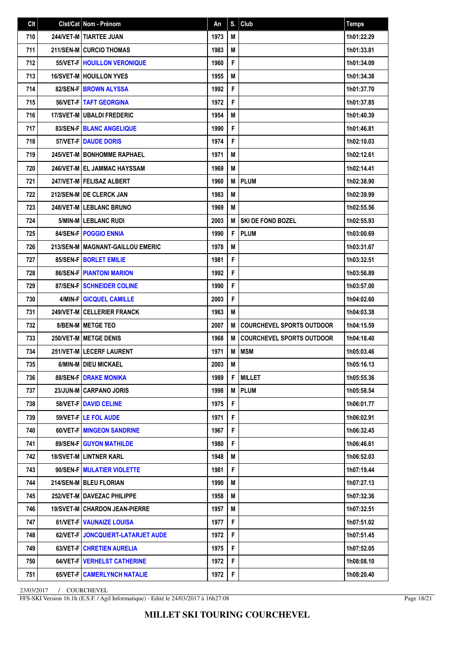| Clt | Cist/Cat Nom - Prénom              | An   | S. | Club                             | <b>Temps</b> |
|-----|------------------------------------|------|----|----------------------------------|--------------|
| 710 | 244/VET-M   TIARTEE JUAN           | 1973 | M  |                                  | 1h01:22.29   |
| 711 | <b>211/SEN-M CURCIO THOMAS</b>     | 1983 | М  |                                  | 1h01:33.81   |
| 712 | 55/VET-F   HOUILLON VERONIQUE      | 1960 | F  |                                  | 1h01:34.09   |
| 713 | <b>16/SVET-M HOUILLON YVES</b>     | 1955 | M  |                                  | 1h01:34.38   |
| 714 | 82/SEN-F BROWN ALYSSA              | 1992 | F  |                                  | 1h01:37.70   |
| 715 | 56/VET-F   TAFT GEORGINA           | 1972 | F  |                                  | 1h01:37.85   |
| 716 | 17/SVET-M   UBALDI FREDERIC        | 1954 | М  |                                  | 1h01:40.39   |
| 717 | 83/SEN-F   BLANC ANGELIQUE         | 1990 | F  |                                  | 1h01:46.81   |
| 718 | 57/VET-F DAUDE DORIS               | 1974 | F  |                                  | 1h02:10.03   |
| 719 | 245/VET-M BONHOMME RAPHAEL         | 1971 | М  |                                  | 1h02:12.61   |
| 720 | 246/VET-MIEL JAMMAC HAYSSAM        | 1969 | М  |                                  | 1h02:14.41   |
| 721 | 247/VET-M   FELISAZ ALBERT         | 1960 | М  | <b>PLUM</b>                      | 1h02:38.90   |
| 722 | 212/SEN-M I DE CLERCK JAN          | 1983 | М  |                                  | 1h02:39.99   |
| 723 | <b>248/VET-MILEBLANC BRUNO</b>     | 1969 | М  |                                  | 1h02:55.56   |
| 724 | 5/MIN-M LEBLANC RUDI               | 2003 | М  | <b>SKI DE FOND BOZEL</b>         | 1h02:55.93   |
| 725 | <b>84/SEN-FIPOGGIO ENNIA</b>       | 1990 | F  | <b>PLUM</b>                      | 1h03:00.69   |
| 726 | 213/SEN-M   MAGNANT-GAILLOU EMERIC | 1978 | М  |                                  | 1h03:31.67   |
| 727 | 85/SEN-F BORLET EMILIE             | 1981 | F  |                                  | 1h03:32.51   |
| 728 | <b>86/SEN-F   PIANTONI MARION</b>  | 1992 | F  |                                  | 1h03:56.89   |
| 729 | 87/SEN-FISCHNEIDER COLINE          | 1990 | F  |                                  | 1h03:57.00   |
| 730 | 4/MIN-F GICQUEL CAMILLE            | 2003 | F  |                                  | 1h04:02.60   |
| 731 | 249/VET-M   CELLERIER FRANCK       | 1963 | М  |                                  | 1h04:03.38   |
| 732 | 8/BEN-M   METGE TEO                | 2007 | М  | <b>COURCHEVEL SPORTS OUTDOOR</b> | 1h04:15.59   |
| 733 | 250/VET-M METGE DENIS              | 1968 | М  | <b>COURCHEVEL SPORTS OUTDOOR</b> | 1h04:18.40   |
| 734 | 251/VET-MILECERF LAURENT           | 1971 | М  | <b>MSM</b>                       | 1h05:03.46   |
| 735 | 6/MIN-M DIEU MICKAEL               | 2003 | М  |                                  | 1h05:16.13   |
| 736 | <b>88/SEN-F DRAKE MONIKA</b>       | 1989 | F. | <b>MILLET</b>                    | 1h05:55.36   |
| 737 | <b>23/JUN-MICARPANO JORIS</b>      | 1998 | М  | <b>PLUM</b>                      | 1h05:58.54   |
| 738 | 58/VET-F   DAVID CELINE            | 1975 | F  |                                  | 1h06:01.77   |
| 739 | 59/VET-F LE FOL AUDE               | 1971 | F  |                                  | 1h06:02.91   |
| 740 | 60/VET-F   MINGEON SANDRINE        | 1967 | F  |                                  | 1h06:32.45   |
| 741 | 89/SEN-F GUYON MATHILDE            | 1980 | F. |                                  | 1h06:46.61   |
| 742 | <b>18/SVET-M   LINTNER KARL</b>    | 1948 | M  |                                  | 1h06:52.03   |
| 743 | 90/SEN-F   MULATIER VIOLETTE       | 1981 | F  |                                  | 1h07:19.44   |
| 744 | 214/SEN-M BLEU FLORIAN             | 1990 | M  |                                  | 1h07:27.13   |
| 745 | 252/VET-M   DAVEZAC PHILIPPE       | 1958 | М  |                                  | 1h07:32.36   |
| 746 | 19/SVET-M CHARDON JEAN-PIERRE      | 1957 | M  |                                  | 1h07:32.51   |
| 747 | 61/VET-F   VAUNAIZE LOUISA         | 1977 | F  |                                  | 1h07:51.02   |
| 748 | 62/VET-F JONCQUIERT-LATARJET AUDE  | 1972 | F  |                                  | 1h07:51.45   |
| 749 | 63/VET-F   CHRETIEN AURELIA        | 1975 | F. |                                  | 1h07:52.05   |
| 750 | 64/VET-F   VERHELST CATHERINE      | 1972 | F  |                                  | 1h08:08.10   |
| 751 | 65/VET-F   CAMERLYNCH NATALIE      | 1972 | F  |                                  | 1h08:20.40   |

FFS-SKI Version 16.1h (E.S.F. / Agil Informatique) - Edité le 24/03/2017 à 16h27:08

Page 18/21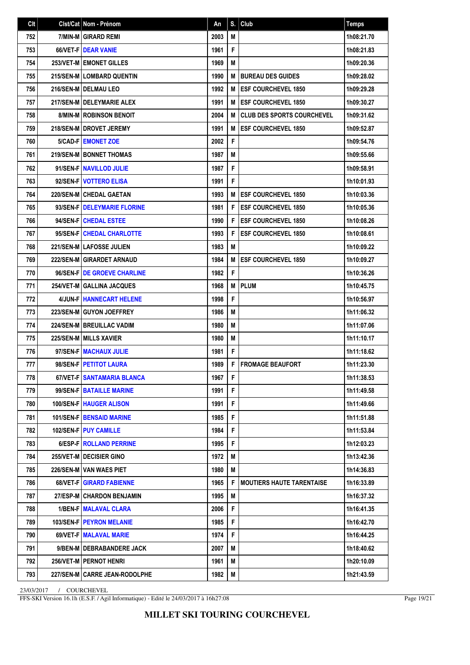| Clt | Cist/Cat   Nom - Prénom           | An   | S. | Club                              | <b>Temps</b> |
|-----|-----------------------------------|------|----|-----------------------------------|--------------|
| 752 | 7/MIN-M GIRARD REMI               | 2003 | M  |                                   | 1h08:21.70   |
| 753 | 66/VET-F DEAR VANIE               | 1961 | F  |                                   | 1h08:21.83   |
| 754 | <b>253/VET-M EMONET GILLES</b>    | 1969 | M  |                                   | 1h09:20.36   |
| 755 | 215/SEN-M LOMBARD QUENTIN         | 1990 | M  | <b>BUREAU DES GUIDES</b>          | 1h09:28.02   |
| 756 | 216/SEN-M DELMAU LEO              | 1992 | М  | <b>ESF COURCHEVEL 1850</b>        | 1h09:29.28   |
| 757 | 217/SEN-M   DELEYMARIE ALEX       | 1991 | M  | <b>ESF COURCHEVEL 1850</b>        | 1h09:30.27   |
| 758 | <b>8/MIN-M ROBINSON BENOIT</b>    | 2004 | M  | <b>CLUB DES SPORTS COURCHEVEL</b> | 1h09:31.62   |
| 759 | 218/SEN-M DROVET JEREMY           | 1991 | M  | <b>ESF COURCHEVEL 1850</b>        | 1h09:52.87   |
| 760 | 5/CAD-F   EMONET ZOE              | 2002 | F  |                                   | 1h09:54.76   |
| 761 | 219/SEN-M   BONNET THOMAS         | 1987 | M  |                                   | 1h09:55.66   |
| 762 | 91/SEN-F NAVILLOD JULIE           | 1987 | F  |                                   | 1h09:58.91   |
| 763 | 92/SEN-F VOTTERO ELISA            | 1991 | F  |                                   | 1h10:01.93   |
| 764 | 220/SEN-M CHEDAL GAETAN           | 1993 | M  | <b>ESF COURCHEVEL 1850</b>        | 1h10:03.36   |
| 765 | 93/SEN-F   DELEYMARIE FLORINE     | 1981 | F  | <b>ESF COURCHEVEL 1850</b>        | 1h10:05.36   |
| 766 | 94/SEN-FICHEDAL ESTEE             | 1990 | F  | <b>ESF COURCHEVEL 1850</b>        | 1h10:08.26   |
| 767 | 95/SEN-FICHEDAL CHARLOTTE         | 1993 | F  | <b>ESF COURCHEVEL 1850</b>        | 1h10:08.61   |
| 768 | 221/SEN-M LAFOSSE JULIEN          | 1983 | M  |                                   | 1h10:09.22   |
| 769 | 222/SEN-M GIRARDET ARNAUD         | 1984 | M  | <b>ESF COURCHEVEL 1850</b>        | 1h10:09.27   |
| 770 | 96/SEN-FIDE GROEVE CHARLINE       | 1982 | F  |                                   | 1h10:36.26   |
| 771 | 254/VET-M GALLINA JACQUES         | 1968 | M  | <b>PLUM</b>                       | 1h10:45.75   |
| 772 | 4/JUN-FI HANNECART HELENE         | 1998 | F  |                                   | 1h10:56.97   |
| 773 | 223/SEN-M GUYON JOEFFREY          | 1986 | M  |                                   | 1h11:06.32   |
| 774 | 224/SEN-M BREUILLAC VADIM         | 1980 | M  |                                   | 1h11:07.06   |
| 775 | 225/SEN-M   MILLS XAVIER          | 1980 | M  |                                   | 1h11:10.17   |
| 776 | 97/SEN-F   MACHAUX JULIE          | 1981 | F  |                                   | 1h11:18.62   |
| 777 | 98/SEN-F   PETITOT LAURA          | 1989 | F  | <b>FROMAGE BEAUFORT</b>           | 1h11:23.30   |
| 778 | 67/VET-F SANTAMARIA BLANCA        | 1967 | F. |                                   | 1h11:38.53   |
| 779 | 99/SEN-F BATAILLE MARINE          | 1991 | F  |                                   | 1h11:49.58   |
| 780 | 100/SEN-F   HAUGER ALISON         | 1991 | F  |                                   | 1h11:49.66   |
| 781 | 101/SEN-F   BENSAID MARINE        | 1985 | F  |                                   | 1h11:51.88   |
| 782 | <b>102/SEN-FIPUY CAMILLE</b>      | 1984 | F  |                                   | 1h11:53.84   |
| 783 | 6/ESP-FIROLLAND PERRINE           | 1995 | F  |                                   | 1h12:03.23   |
| 784 | <b>255/VET-M   DECISIER GINO</b>  | 1972 | М  |                                   | 1h13:42.36   |
| 785 | <b>226/SEN-M I VAN WAES PIET</b>  | 1980 | M  |                                   | 1h14:36.83   |
| 786 | 68/VET-F   GIRARD FABIENNE        | 1965 | F  | <b>MOUTIERS HAUTE TARENTAISE</b>  | 1h16:33.89   |
| 787 | 27/ESP-M CHARDON BENJAMIN         | 1995 | M  |                                   | 1h16:37.32   |
| 788 | 1/BEN-F   MALAVAL CLARA           | 2006 | F  |                                   | 1h16:41.35   |
| 789 | <b>103/SEN-F   PEYRON MELANIE</b> | 1985 | F  |                                   | 1h16:42.70   |
| 790 | 69/VET-F   MALAVAL MARIE          | 1974 | F  |                                   | 1h16:44.25   |
| 791 | 9/BEN-M   DEBRABANDERE JACK       | 2007 | М  |                                   | 1h18:40.62   |
| 792 | 256/VET-M   PERNOT HENRI          | 1961 | M  |                                   | 1h20:10.09   |
| 793 | 227/SEN-M CARRE JEAN-RODOLPHE     | 1982 | M  |                                   | 1h21:43.59   |

FFS-SKI Version 16.1h (E.S.F. / Agil Informatique) - Edité le 24/03/2017 à 16h27:08

Page 19/21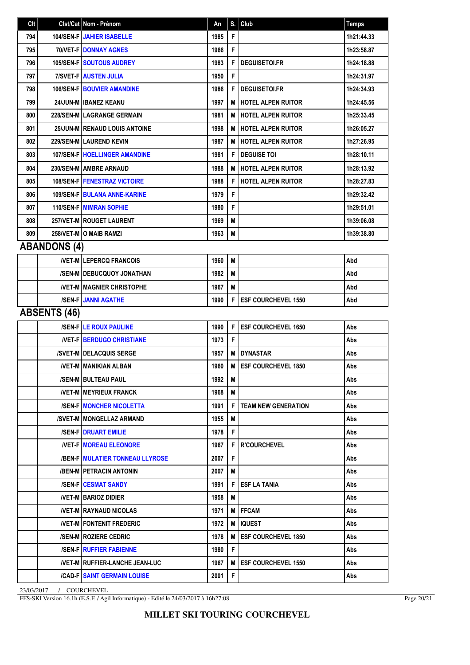| Clt |                     | Clst/Cat Nom - Prénom                    | An   | S. | Club                        | <b>Temps</b> |
|-----|---------------------|------------------------------------------|------|----|-----------------------------|--------------|
| 794 |                     | 104/SEN-F JAHIER ISABELLE                | 1985 | F  |                             | 1h21:44.33   |
| 795 |                     | <b>70/VET-F DONNAY AGNES</b>             | 1966 | F  |                             | 1h23:58.87   |
| 796 |                     | <b>105/SEN-F SOUTOUS AUDREY</b>          | 1983 | F  | <b>DEGUISETOI.FR</b>        | 1h24:18.88   |
| 797 |                     | <b>7/SVET-FIAUSTEN JULIA</b>             | 1950 | F  |                             | 1h24:31.97   |
| 798 |                     | <b>106/SEN-F   BOUVIER AMANDINE</b>      | 1986 | F  | <b>DEGUISETOI.FR</b>        | 1h24:34.93   |
| 799 |                     | 24/JUN-M   IBANEZ KEANU                  | 1997 | M  | HOTEL ALPEN RUITOR          | 1h24:45.56   |
| 800 |                     | 228/SEN-M LAGRANGE GERMAIN               | 1981 | M  | <b>HOTEL ALPEN RUITOR</b>   | 1h25:33.45   |
| 801 |                     | 25/JUN-M   RENAUD LOUIS ANTOINE          | 1998 | M  | <b>HOTEL ALPEN RUITOR</b>   | 1h26:05.27   |
| 802 |                     | 229/SEN-M LAUREND KEVIN                  | 1987 | М  | HOTEL ALPEN RUITOR          | 1h27:26.95   |
| 803 |                     | <b>107/SEN-F   HOELLINGER AMANDINE</b>   | 1981 | F  | <b>DEGUISE TOI</b>          | 1h28:10.11   |
| 804 |                     | 230/SEN-M AMBRE ARNAUD                   | 1988 | М  | <b>HOTEL ALPEN RUITOR</b>   | 1h28:13.92   |
| 805 |                     | <b>108/SEN-FIFENESTRAZ VICTOIRE</b>      | 1988 | F  | <b>HOTEL ALPEN RUITOR</b>   | 1h28:27.83   |
| 806 |                     | 109/SEN-F   BULANA ANNE-KARINE           | 1979 | F  |                             | 1h29:32.42   |
| 807 |                     | 110/SEN-F MIMRAN SOPHIE                  | 1980 | F  |                             | 1h29:51.01   |
| 808 |                     | 257/VET-M   ROUGET LAURENT               | 1969 | M  |                             | 1h39:06.08   |
| 809 |                     | 258/VET-M O MAIB RAMZI                   | 1963 | М  |                             | 1h39:38.80   |
|     | <b>ABANDONS (4)</b> |                                          |      |    |                             |              |
|     |                     | <b>NET-M LEPERCQ FRANCOIS</b>            | 1960 | M  |                             | Abd          |
|     |                     | /SEN-M   DEBUCQUOY JONATHAN              | 1982 | M  |                             | Abd          |
|     |                     | <b>/VET-M   MAGNIER CHRISTOPHE</b>       | 1967 | M  |                             | Abd          |
|     |                     | <b>/SEN-F JANNI AGATHE</b>               | 1990 | F  | <b>ESF COURCHEVEL 1550</b>  | Abd          |
|     | <b>ABSENTS (46)</b> |                                          |      |    |                             |              |
|     |                     | <b>/SEN-F LE ROUX PAULINE</b>            | 1990 | F  | <b>ESF COURCHEVEL 1650</b>  | Abs          |
|     |                     | <b>NET-FIBERDUGO CHRISTIANE</b>          | 1973 | F  |                             | Abs          |
|     |                     | /SVET-M   DELACQUIS SERGE                | 1957 | M  | <b>DYNASTAR</b>             | Abs          |
|     |                     | <b>/VET-M   MANIKIAN ALBAN</b>           | 1960 | M  | <b>ESF COURCHEVEL 1850</b>  | Abs          |
|     |                     | /SEN-M   BULTEAU PAUL                    | 1992 | M  |                             | Abs          |
|     |                     | <b>/VET-M   MEYRIEUX FRANCK</b>          | 1968 | М  |                             | Abs          |
|     |                     | <b>/SEN-FIMONCHER NICOLETTA</b>          | 1991 | F  | <b>TEAM NEW GENERATION</b>  | Abs          |
|     |                     | /SVET-M   MONGELLAZ ARMAND               | 1955 | M  |                             | Abs          |
|     |                     | <b>/SEN-F   DRUART EMILIE</b>            | 1978 | F. |                             | Abs          |
|     |                     | <b>NET-FIMOREAU ELEONORE</b>             | 1967 | F  | <b>R'COURCHEVEL</b>         | Abs          |
|     |                     | <b>/BEN-F   MULATIER TONNEAU LLYROSE</b> | 2007 | F  |                             | Abs          |
|     |                     | /BEN-M PETRACIN ANTONIN                  | 2007 | M  |                             | Abs          |
|     |                     | <b>/SEN-F   CESMAT SANDY</b>             | 1991 | F  | <b>ESF LA TANIA</b>         | Abs          |
|     |                     | <b>NET-MIBARIOZ DIDIER</b>               | 1958 | М  |                             | Abs          |
|     |                     | <b>/VET-MIRAYNAUD NICOLAS</b>            | 1971 | M  | <b>IFFCAM</b>               | Abs          |
|     |                     | <b>NET-M FONTENIT FREDERIC</b>           | 1972 | M  | IQUEST                      | Abs          |
|     |                     | /SEN-M   ROZIERE CEDRIC                  | 1978 | M  | <b>IESF COURCHEVEL 1850</b> | Abs          |
|     |                     | <b>/SEN-F   RUFFIER FABIENNE</b>         | 1980 | F  |                             | Abs          |
|     |                     | <b>NET-MIRUFFIER-LANCHE JEAN-LUC</b>     | 1967 | M  | <b>IESF COURCHEVEL 1550</b> | Abs          |
|     |                     | <b>/CAD-F SAINT GERMAIN LOUISE</b>       | 2001 | F  |                             | Abs          |

FFS-SKI Version 16.1h (E.S.F. / Agil Informatique) - Edité le 24/03/2017 à 16h27:08

Page 20/21